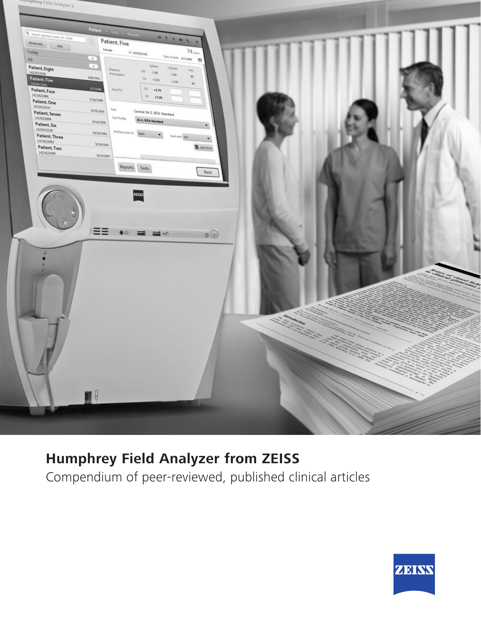

## **Humphrey Field Analyzer from ZEISS**

Compendium of peer-reviewed, published clinical articles

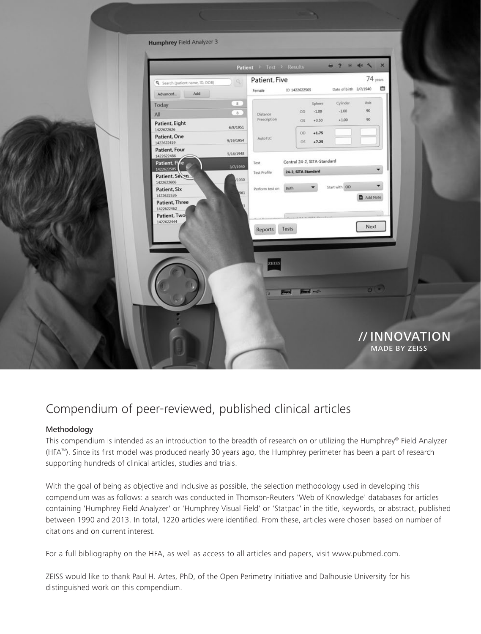|                                  |                     | Patient > Test > Results |                                                    |         | $-2 * 4 * 1 x$         |             |                          |  |
|----------------------------------|---------------------|--------------------------|----------------------------------------------------|---------|------------------------|-------------|--------------------------|--|
| Q Search (patient name, ID, DOB) |                     | Patient, Five<br>Female  | ID 1422622505                                      |         | Date of birth 3/7/1940 | 74 years    | 画                        |  |
| Add<br>Advanced                  | $\left[ -8 \right]$ |                          |                                                    | Sphere  | Cylinder               | Axis        |                          |  |
| Today<br>All                     | 8                   | Distance                 | OD                                                 | $-1.00$ | $-1.00$                | 90          |                          |  |
| Patient, Eight                   |                     | Prescription             | OS.                                                | $+3.50$ | $+1.00$                | 90          |                          |  |
| 1422622626<br>Patient, One       | 6/8/1951            | AutoTLC                  | OD                                                 | $+1.75$ |                        |             |                          |  |
| 1422622419                       | 9/19/1954           |                          | OS                                                 | $+7.25$ |                        |             |                          |  |
| Patient, Four<br>1422622486      | 5/16/1948           |                          |                                                    |         |                        |             |                          |  |
| Patient, Five<br>1422622505      | 3/7/1940            | Test                     | Central 24-2, SITA-Standard<br>24-2, SITA Standard |         |                        |             | $\blacktriangledown$     |  |
| Patient, Seven<br>1422622606     | /1930               | <b>Test Profile</b>      |                                                    |         |                        |             |                          |  |
| Patient, Six                     | $\beta$ 61          | Perform test on          | Both                                               |         | Start with OD          |             | $\overline{\phantom{a}}$ |  |
| 1422622526<br>Patient, Three     |                     |                          |                                                    |         |                        | Add Note    |                          |  |
| 1422622462<br>Patient, Two       |                     |                          |                                                    |         |                        |             |                          |  |
| 1422622444                       |                     |                          |                                                    |         |                        | Next        |                          |  |
|                                  |                     | Reports                  | Tests                                              |         |                        |             |                          |  |
|                                  |                     |                          |                                                    |         |                        |             |                          |  |
|                                  |                     |                          |                                                    |         |                        |             |                          |  |
|                                  |                     | <b>ZEISS</b>             |                                                    |         |                        |             |                          |  |
|                                  |                     |                          |                                                    |         |                        |             |                          |  |
|                                  |                     | ה                        |                                                    | $-1$    |                        | $\sigma(-)$ |                          |  |
|                                  |                     |                          |                                                    |         |                        |             |                          |  |
|                                  |                     |                          |                                                    |         |                        |             |                          |  |

### Compendium of peer-reviewed, published clinical articles

#### Methodology

This compendium is intended as an introduction to the breadth of research on or utilizing the Humphrey® Field Analyzer (HFA™). Since its first model was produced nearly 30 years ago, the Humphrey perimeter has been a part of research supporting hundreds of clinical articles, studies and trials.

With the goal of being as objective and inclusive as possible, the selection methodology used in developing this compendium was as follows: a search was conducted in Thomson-Reuters 'Web of Knowledge' databases for articles containing 'Humphrey Field Analyzer' or 'Humphrey Visual Field' or 'Statpac' in the title, keywords, or abstract, published between 1990 and 2013. In total, 1220 articles were identified. From these, articles were chosen based on number of citations and on current interest.

For a full bibliography on the HFA, as well as access to all articles and papers, [visit www.pubmed.com.](visit www.pubmed.com)

ZEISS would like to thank Paul H. Artes, PhD, of the Open Perimetry Initiative and Dalhousie University for his distinguished work on this compendium.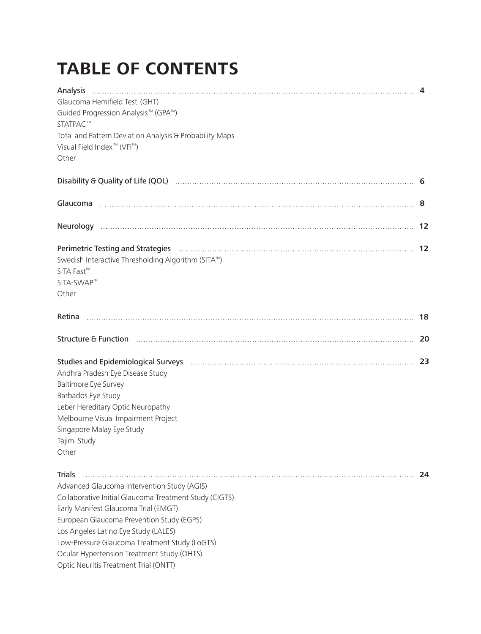# **TABLE OF CONTENTS**

|                                                                                                                | 4  |
|----------------------------------------------------------------------------------------------------------------|----|
| Glaucoma Hemifield Test (GHT)                                                                                  |    |
| Guided Progression Analysis™ (GPA™)                                                                            |    |
| STATPAC <sup>™</sup>                                                                                           |    |
| Total and Pattern Deviation Analysis & Probability Maps                                                        |    |
| Visual Field Index <sup>™</sup> (VFI™)                                                                         |    |
| Other                                                                                                          |    |
|                                                                                                                |    |
|                                                                                                                |    |
|                                                                                                                |    |
|                                                                                                                |    |
| Swedish Interactive Thresholding Algorithm (SITA™)                                                             |    |
| SITA Fast <sup>™</sup>                                                                                         |    |
| SITA-SWAP™                                                                                                     |    |
| Other                                                                                                          |    |
|                                                                                                                |    |
|                                                                                                                |    |
|                                                                                                                |    |
| Studies and Epidemiological Surveys (and according to the control of the studies and Epidemiological Surveys ( | 23 |
| Andhra Pradesh Eye Disease Study                                                                               |    |
| <b>Baltimore Eye Survey</b>                                                                                    |    |
| Barbados Eye Study                                                                                             |    |
| Leber Hereditary Optic Neuropathy<br>Melbourne Visual Impairment Project                                       |    |
| Singapore Malay Eye Study                                                                                      |    |
| Tajimi Study                                                                                                   |    |
| Other                                                                                                          |    |
|                                                                                                                |    |
| <b>Trials</b><br>Advanced Glaucoma Intervention Study (AGIS)                                                   | 24 |
| Collaborative Initial Glaucoma Treatment Study (CIGTS)                                                         |    |
| Early Manifest Glaucoma Trial (EMGT)                                                                           |    |
| European Glaucoma Prevention Study (EGPS)                                                                      |    |
| Los Angeles Latino Eye Study (LALES)                                                                           |    |
| Low-Pressure Glaucoma Treatment Study (LoGTS)                                                                  |    |
| Ocular Hypertension Treatment Study (OHTS)                                                                     |    |
| Optic Neuritis Treatment Trial (ONTT)                                                                          |    |
|                                                                                                                |    |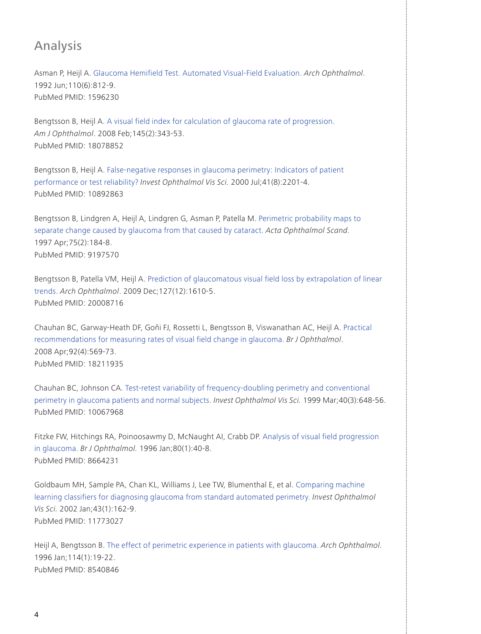#### Analysis

Asman P, Heijl A. [Glaucoma Hemifield Test. Automated Visual-Field Evaluation.](http://www.ncbi.nlm.nih.gov/pubmed/?term=1596230) *Arch Ophthalmol.*  1992 Jun;110(6):812-9. PubMed PMID: 1596230

Bengtsson B, Heijl A. [A visual field index for calculation of glaucoma rate of progression.](http://www.ncbi.nlm.nih.gov/pubmed/?term=18078852)  *Am J Ophthalmol*. 2008 Feb;145(2):343-53. PubMed PMID: 18078852

Bengtsson B, Heijl A. [False-negative responses in glaucoma perimetry: Indicators of patient](http://www.ncbi.nlm.nih.gov/pubmed/?term=10892863)  [performance or test reliability?](http://www.ncbi.nlm.nih.gov/pubmed/?term=10892863) *Invest Ophthalmol Vis Sci.* 2000 Jul;41(8):2201-4. PubMed PMID: 10892863

Bengtsson B, Lindgren A, Heijl A, Lindgren G, Asman P, Patella M. [Perimetric probability maps to](http://www.ncbi.nlm.nih.gov/pubmed/?term=9197570)  [separate change caused by glaucoma from that caused by cataract.](http://www.ncbi.nlm.nih.gov/pubmed/?term=9197570) *Acta Ophthalmol Scand.*  1997 Apr;75(2):184-8. PubMed PMID: 9197570

Bengtsson B, Patella VM, Heijl A. [Prediction of glaucomatous visual field loss by extrapolation of linear](http://www.ncbi.nlm.nih.gov/pubmed/?term=20008716)  [trends.](http://www.ncbi.nlm.nih.gov/pubmed/?term=20008716) *Arch Ophthalmol*. 2009 Dec;127(12):1610-5. PubMed PMID: 20008716

Chauhan BC, Garway-Heath DF, Goñi FJ, Rossetti L, Bengtsson B, Viswanathan AC, Heijl A. [Practical](http://www.ncbi.nlm.nih.gov/pubmed/?term=18211935)  [recommendations for measuring rates of visual field change in glaucoma.](http://www.ncbi.nlm.nih.gov/pubmed/?term=18211935) *Br J Ophthalmol*. 2008 Apr;92(4):569-73. PubMed PMID: 18211935

Chauhan BC, Johnson CA. [Test-retest variability of frequency-doubling perimetry and conventional](http://www.ncbi.nlm.nih.gov/pubmed/?term=10067968)  [perimetry in glaucoma patients and normal subjects.](http://www.ncbi.nlm.nih.gov/pubmed/?term=10067968) *Invest Ophthalmol Vis Sci.* 1999 Mar;40(3):648-56. PubMed PMID: 10067968

Fitzke FW, Hitchings RA, Poinoosawmy D, McNaught AI, Crabb DP. [Analysis of visual field progression](http://www.ncbi.nlm.nih.gov/pubmed/?term=8664231)  [in glaucoma.](http://www.ncbi.nlm.nih.gov/pubmed/?term=8664231) *Br J Ophthalmol.* 1996 Jan;80(1):40-8. PubMed PMID: 8664231

Goldbaum MH, Sample PA, Chan KL, Williams J, Lee TW, Blumenthal E, et al. [Comparing machine](http://www.ncbi.nlm.nih.gov/pubmed/?term=11773027)  [learning classifiers for diagnosing glaucoma from standard automated perimetry.](http://www.ncbi.nlm.nih.gov/pubmed/?term=11773027) *Invest Ophthalmol Vis Sci.* 2002 Jan;43(1):162-9. PubMed PMID: 11773027

Heijl A, Bengtsson B. [The effect of perimetric experience in patients with glaucoma.](http://www.ncbi.nlm.nih.gov/pubmed/?term=8540846) *Arch Ophthalmol.* 1996 Jan;114(1):19-22. PubMed PMID: 8540846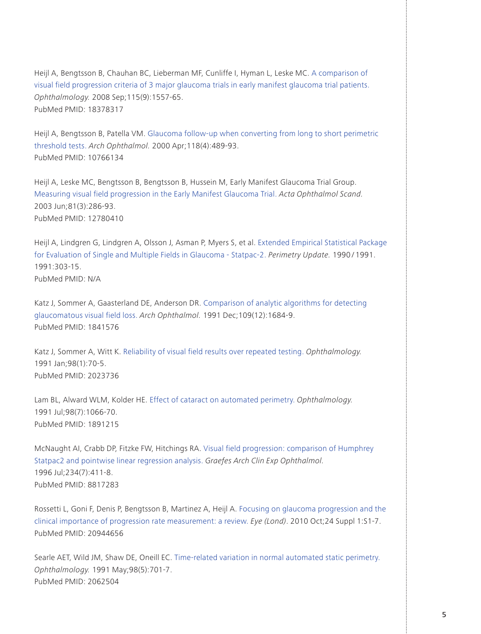Heijl A, Bengtsson B, Chauhan BC, Lieberman MF, Cunliffe I, Hyman L, Leske MC. [A comparison of](http://www.ncbi.nlm.nih.gov/pubmed/?term=18378317)  [visual field progression criteria of 3 major glaucoma trials in early manifest glaucoma trial patients.](http://www.ncbi.nlm.nih.gov/pubmed/?term=18378317) *Ophthalmology.* 2008 Sep;115(9):1557-65. PubMed PMID: 18378317

Heijl A, Bengtsson B, Patella VM. [Glaucoma follow-up when converting from long to short perimetric](http://www.ncbi.nlm.nih.gov/pubmed/?term=10766134)  [threshold tests.](http://www.ncbi.nlm.nih.gov/pubmed/?term=10766134) *Arch Ophthalmol.* 2000 Apr;118(4):489-93. PubMed PMID: 10766134

Heijl A, Leske MC, Bengtsson B, Bengtsson B, Hussein M, Early Manifest Glaucoma Trial Group. [Measuring visual field progression in the Early Manifest Glaucoma Trial.](http://www.ncbi.nlm.nih.gov/pubmed/?term=12780410) *Acta Ophthalmol Scand.* 2003 Jun;81(3):286-93. PubMed PMID: 12780410

Heijl A, Lindgren G, Lindgren A, Olsson J, Asman P, Myers S, et al. Extended Empirical Statistical Package for Evaluation of Single and Multiple Fields in Glaucoma - Statpac-2. *Perimetry Update.* 1990 / 1991. 1991:303-15. PubMed PMID: N/A

Katz J, Sommer A, Gaasterland DE, Anderson DR. [Comparison of analytic algorithms for detecting](http://www.ncbi.nlm.nih.gov/pubmed/?term=1841576)  [glaucomatous visual field loss.](http://www.ncbi.nlm.nih.gov/pubmed/?term=1841576) *Arch Ophthalmol.* 1991 Dec;109(12):1684-9. PubMed PMID: 1841576

Katz J, Sommer A, Witt K. [Reliability of visual field results over repeated testing.](http://www.ncbi.nlm.nih.gov/pubmed/?term=2023736) *Ophthalmology.* 1991 Jan;98(1):70-5. PubMed PMID: 2023736

Lam BL, Alward WLM, Kolder HE. [Effect of cataract on automated perimetry.](http://www.ncbi.nlm.nih.gov/pubmed/?term=1891215) *Ophthalmology.* 1991 Jul;98(7):1066-70. PubMed PMID: 1891215

McNaught AI, Crabb DP, Fitzke FW, Hitchings RA. [Visual field progression: comparison of Humphrey](http://www.ncbi.nlm.nih.gov/pubmed/?term=8817283)  [Statpac2 and pointwise linear regression analysis.](http://www.ncbi.nlm.nih.gov/pubmed/?term=8817283) *Graefes Arch Clin Exp Ophthalmol.*  1996 Jul;234(7):411-8. PubMed PMID: 8817283

Rossetti L, Goni F, Denis P, Bengtsson B, Martinez A, Heijl A. [Focusing on glaucoma progression and the](http://www.ncbi.nlm.nih.gov/pubmed/?term=20944656)  [clinical importance of progression rate measurement: a review.](http://www.ncbi.nlm.nih.gov/pubmed/?term=20944656) *Eye (Lond)*. 2010 Oct;24 Suppl 1:S1-7. PubMed PMID: 20944656

Searle AET, Wild JM, Shaw DE, Oneill EC. [Time-related variation in normal automated static perimetry.](http://www.ncbi.nlm.nih.gov/pubmed/?term=2062504) *Ophthalmology.* 1991 May;98(5):701-7. PubMed PMID: 2062504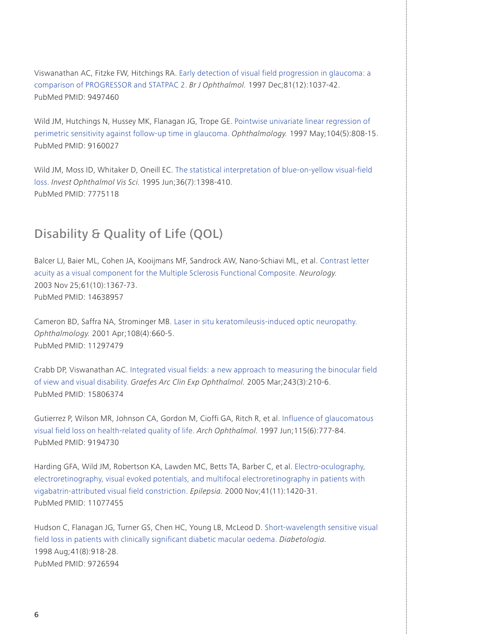Viswanathan AC, Fitzke FW, Hitchings RA. [Early detection of visual field progression in glaucoma: a](http://www.ncbi.nlm.nih.gov/pubmed/?term=9497460)  [comparison of PROGRESSOR and STATPAC 2.](http://www.ncbi.nlm.nih.gov/pubmed/?term=9497460) *Br J Ophthalmol.* 1997 Dec;81(12):1037-42. PubMed PMID: 9497460

Wild JM, Hutchings N, Hussey MK, Flanagan JG, Trope GE. [Pointwise univariate linear regression of](http://www.ncbi.nlm.nih.gov/pubmed/?term=9160027)  [perimetric sensitivity against follow-up time in glaucoma.](http://www.ncbi.nlm.nih.gov/pubmed/?term=9160027) *Ophthalmology.* 1997 May;104(5):808-15. PubMed PMID: 9160027

Wild JM, Moss ID, Whitaker D, Oneill EC. [The statistical interpretation of blue-on-yellow visual-field](http://www.ncbi.nlm.nih.gov/pubmed/?term=7775118)  [loss.](http://www.ncbi.nlm.nih.gov/pubmed/?term=7775118) *Invest Ophthalmol Vis Sci.* 1995 Jun;36(7):1398-410. PubMed PMID: 7775118

### Disability & Quality of Life (QOL)

Balcer LJ, Baier ML, Cohen JA, Kooijmans MF, Sandrock AW, Nano-Schiavi ML, et al. [Contrast letter](http://www.ncbi.nlm.nih.gov/pubmed/?term=14638957)  [acuity as a visual component for the Multiple Sclerosis Functional Composite](http://www.ncbi.nlm.nih.gov/pubmed/?term=14638957). *Neurology.* 2003 Nov 25;61(10):1367-73. PubMed PMID: 14638957

Cameron BD, Saffra NA, Strominger MB. [Laser in situ keratomileusis-induced optic neuropathy.](http://www.ncbi.nlm.nih.gov/pubmed/?term=11297479) *Ophthalmology.* 2001 Apr;108(4):660-5. PubMed PMID: 11297479

Crabb DP, Viswanathan AC. [Integrated visual fields: a new approach to measuring the binocular field](http://www.ncbi.nlm.nih.gov/pubmed/?term=15806374)  [of view and visual disability.](http://www.ncbi.nlm.nih.gov/pubmed/?term=15806374) *Graefes Arc Clin Exp Ophthalmol.* 2005 Mar;243(3):210-6. PubMed PMID: 15806374

Gutierrez P, Wilson MR, Johnson CA, Gordon M, Cioffi GA, Ritch R, et al. [Influence of glaucomatous](http://www.ncbi.nlm.nih.gov/pubmed/?term=9194730)  [visual field loss on health-related quality of life.](http://www.ncbi.nlm.nih.gov/pubmed/?term=9194730) *Arch Ophthalmol.* 1997 Jun;115(6):777-84. PubMed PMID: 9194730

Harding GFA, Wild JM, Robertson KA, Lawden MC, Betts TA, Barber C, et al. [Electro-oculography,](http://www.ncbi.nlm.nih.gov/pubmed/?term=11077455)  [electroretinography, visual evoked potentials, and multifocal electroretinography in patients with](http://www.ncbi.nlm.nih.gov/pubmed/?term=11077455)  [vigabatrin-attributed visual field constriction.](http://www.ncbi.nlm.nih.gov/pubmed/?term=11077455) *Epilepsia.* 2000 Nov;41(11):1420-31. PubMed PMID: 11077455

Hudson C, Flanagan JG, Turner GS, Chen HC, Young LB, McLeod D. [Short-wavelength sensitive visual](http://www.ncbi.nlm.nih.gov/pubmed/?term=9726594)  [field loss in patients with clinically significant diabetic macular oedema.](http://www.ncbi.nlm.nih.gov/pubmed/?term=9726594) *Diabetologia.*  1998 Aug;41(8):918-28. PubMed PMID: 9726594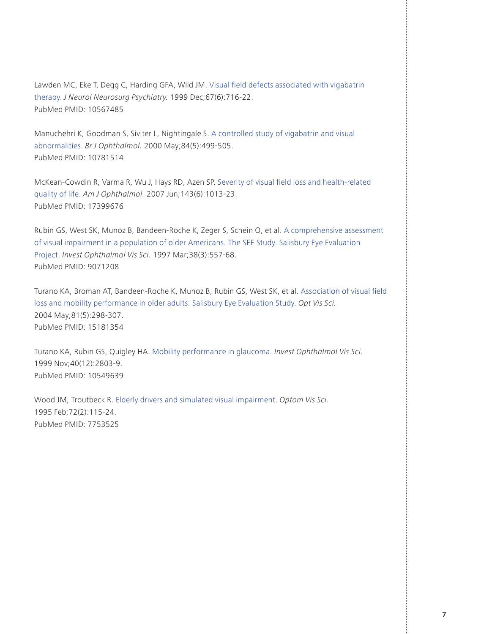Lawden MC, Eke T, Degg C, Harding GFA, Wild JM. [Visual field defects associated with vigabatrin](http://www.ncbi.nlm.nih.gov/pubmed/?term=10567485)  [therapy.](http://www.ncbi.nlm.nih.gov/pubmed/?term=10567485) *J Neurol Neurosurg Psychiatry.* 1999 Dec;67(6):716-22. PubMed PMID: 10567485

Manuchehri K, Goodman S, Siviter L, Nightingale S. [A controlled study of vigabatrin and visual](http://www.ncbi.nlm.nih.gov/pubmed/?term=10781514)  [abnormalities.](http://www.ncbi.nlm.nih.gov/pubmed/?term=10781514) *Br J Ophthalmol.* 2000 May;84(5):499-505. PubMed PMID: 10781514

McKean-Cowdin R, Varma R, Wu J, Hays RD, Azen SP. [Severity of visual field loss and health-related](http://www.ncbi.nlm.nih.gov/pubmed/?term=17399676)  [quality of life.](http://www.ncbi.nlm.nih.gov/pubmed/?term=17399676) *Am J Ophthalmol.* 2007 Jun;143(6):1013-23. PubMed PMID: 17399676

Rubin GS, West SK, Munoz B, Bandeen-Roche K, Zeger S, Schein O, et al[.](http://www.ncbi.nlm.nih.gov/pubmed/?term=9071208) A comprehensive assessment of visual impairment in a population of older Americans. The SEE Study. Salisbury Eye Evaluation Project. *Invest Ophthalmol Vis Sci.* 1997 Mar;38(3):557-68. PubMed PMID: 9071208

Turano KA, Broman AT, Bandeen-Roche K, Munoz B, Rubin GS, West SK, et al. [Association of visual field](http://www.ncbi.nlm.nih.gov/pubmed/?term=15181354) [loss and mobility performance in older adults: Salisbury Eye Evaluation Study.](http://www.ncbi.nlm.nih.gov/pubmed/?term=15181354) *Opt Vis Sci.*  2004 May;81(5):298-307. PubMed PMID: 15181354

Turano KA, Rubin GS, Quigley HA. [Mobility performance in glaucoma.](http://www.ncbi.nlm.nih.gov/pubmed/?term=10549639) *Invest Ophthalmol Vis Sci.* 1999 Nov;40(12):2803-9. PubMed PMID: 10549639

Wood JM, Troutbeck R. [Elderly drivers and simulated visual impairment.](http://www.ncbi.nlm.nih.gov/pubmed/?term=7753525) *Optom Vis Sci.*  1995 Feb;72(2):115-24. PubMed PMID: 7753525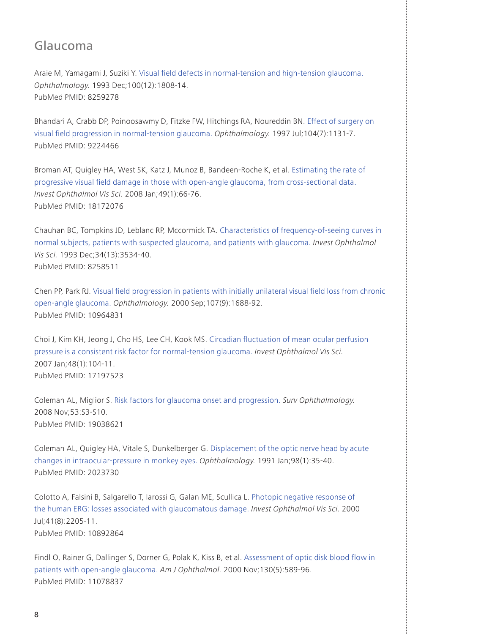#### Glaucoma

Araie M, Yamagami J, Suziki Y. [Visual field defects in normal-tension and high-tension glaucoma.](http://www.ncbi.nlm.nih.gov/pubmed/?term=8259278) *Ophthalmology.* 1993 Dec;100(12):1808-14. PubMed PMID: 8259278

Bhandari A, Crabb DP, Poinoosawmy D, Fitzke FW, Hitchings RA, Noureddin BN. [Effect of surgery on](http://www.ncbi.nlm.nih.gov/pubmed/?term=9224466)  [visual field progression in normal-tension glaucoma.](http://www.ncbi.nlm.nih.gov/pubmed/?term=9224466) *Ophthalmology.* 1997 Jul;104(7):1131-7. PubMed PMID: 9224466

Broman AT, Quigley HA, West SK, Katz J, Munoz B, Bandeen-Roche K, et al. [Estimating the rate of](http://www.ncbi.nlm.nih.gov/pubmed/?term=18172076)  [progressive visual field damage in those with open-angle glaucoma, from cross-sectional data.](http://www.ncbi.nlm.nih.gov/pubmed/?term=18172076) *Invest Ophthalmol Vis Sci.* 2008 Jan;49(1):66-76. PubMed PMID: 18172076

Chauhan BC, Tompkins JD, Leblanc RP, Mccormick TA. [Characteristics of frequency-of-seeing curves in](http://www.ncbi.nlm.nih.gov/pubmed/?term=8258511)  [normal subjects, patients with suspected glaucoma, and patients with glaucoma](http://www.ncbi.nlm.nih.gov/pubmed/?term=8258511). *Invest Ophthalmol Vis Sci.* 1993 Dec;34(13):3534-40. PubMed PMID: 8258511

Chen PP, Park RJ. [Visual field progression in patients with initially unilateral visual field loss from chronic](http://www.ncbi.nlm.nih.gov/pubmed/?term=10964831)  [open-angle glaucoma.](http://www.ncbi.nlm.nih.gov/pubmed/?term=10964831) *Ophthalmology.* 2000 Sep;107(9):1688-92. PubMed PMID: 10964831

Choi J, Kim KH, Jeong J, Cho HS, Lee CH, Kook MS. [Circadian fluctuation of mean ocular perfusion](http://www.ncbi.nlm.nih.gov/pubmed/?term=17197523)  [pressure is a consistent risk factor for normal-tension glaucoma.](http://www.ncbi.nlm.nih.gov/pubmed/?term=17197523) *Invest Ophthalmol Vis Sci.* 2007 Jan;48(1):104-11. PubMed PMID: 17197523

Coleman AL, Miglior S. [Risk factors for glaucoma onset and progression.](http://www.ncbi.nlm.nih.gov/pubmed/?term=19038621) *Surv Ophthalmology.*  2008 Nov;53:S3-S10. PubMed PMID: 19038621

Coleman AL, Quigley HA, Vitale S, Dunkelberger G. [Displacement of the optic nerve head by acute](http://www.ncbi.nlm.nih.gov/pubmed/?term=2023730)  [changes in intraocular-pressure in monkey eyes.](http://www.ncbi.nlm.nih.gov/pubmed/?term=2023730) *Ophthalmology.* 1991 Jan;98(1):35-40. PubMed PMID: 2023730

Colotto A, Falsini B, Salgarello T, Iarossi G, Galan ME, Scullica L. [Photopic negative response of](http://www.ncbi.nlm.nih.gov/pubmed/?term=10892864)  [the human ERG: losses associated with glaucomatous damage.](http://www.ncbi.nlm.nih.gov/pubmed/?term=10892864) *Invest Ophthalmol Vis Sci.* 2000 Jul;41(8):2205-11. PubMed PMID: 10892864

Findl O, Rainer G, Dallinger S, Dorner G, Polak K, Kiss B, et al. [Assessment of optic disk blood flow in](http://www.ncbi.nlm.nih.gov/pubmed/?term=11078837)  [patients with open-angle glaucoma.](http://www.ncbi.nlm.nih.gov/pubmed/?term=11078837) *Am J Ophthalmol.* 2000 Nov;130(5):589-96. PubMed PMID: 11078837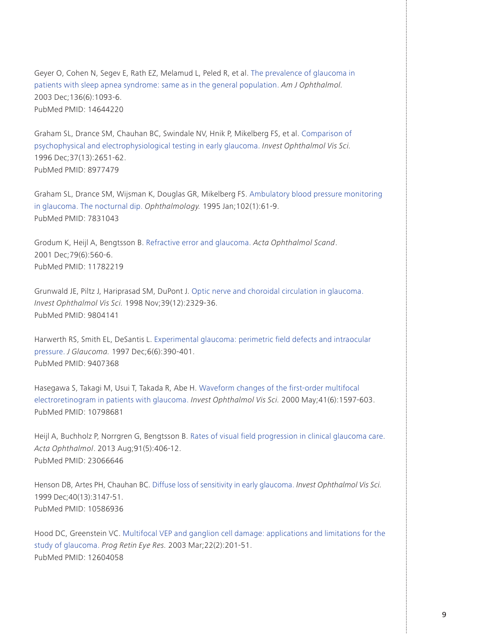Geyer O, Cohen N, Segev E, Rath EZ, Melamud L, Peled R, et al. [The prevalence of glaucoma in](http://www.ncbi.nlm.nih.gov/pubmed/?term=14644220)  [patients with sleep apnea syndrome: same as in the general population.](http://www.ncbi.nlm.nih.gov/pubmed/?term=14644220) *Am J Ophthalmol.* 2003 Dec;136(6):1093-6. PubMed PMID: 14644220

Graham SL, Drance SM, Chauhan BC, Swindale NV, Hnik P, Mikelberg FS, et al. [Comparison of](http://www.ncbi.nlm.nih.gov/pubmed/?term=8977479)  [psychophysical and electrophysiological testing in early glaucoma.](http://www.ncbi.nlm.nih.gov/pubmed/?term=8977479) *Invest Ophthalmol Vis Sci.*  1996 Dec;37(13):2651-62. PubMed PMID: 8977479

Graham SL, Drance SM, Wijsman K, Douglas GR, Mikelberg FS. [Ambulatory blood pressure monitoring](http://www.ncbi.nlm.nih.gov/pubmed/?term=7831043)  [in glaucoma. The nocturnal dip](http://www.ncbi.nlm.nih.gov/pubmed/?term=7831043). *Ophthalmology.* 1995 Jan;102(1):61-9. PubMed PMID: 7831043

Grodum K, Heijl A, Bengtsson B. [Refractive error and glaucoma.](http://www.ncbi.nlm.nih.gov/pubmed/?term=11782219) *Acta Ophthalmol Scand*. 2001 Dec;79(6):560-6. PubMed PMID: 11782219

Grunwald JE, Piltz J, Hariprasad SM, DuPont J. [Optic nerve and choroidal circulation in glaucoma.](http://www.ncbi.nlm.nih.gov/pubmed/?term=9804141) *Invest Ophthalmol Vis Sci.* 1998 Nov;39(12):2329-36. PubMed PMID: 9804141

Harwerth RS, Smith EL, DeSantis L. [Experimental glaucoma: perimetric field defects and intraocular](http://www.ncbi.nlm.nih.gov/pubmed/?term=9407368)  [pressure.](http://www.ncbi.nlm.nih.gov/pubmed/?term=9407368) *J Glaucoma.* 1997 Dec;6(6):390-401. PubMed PMID: 9407368

Hasegawa S, Takagi M, Usui T, Takada R, Abe H. [Waveform changes of the first-order multifocal](http://www.ncbi.nlm.nih.gov/pubmed/?term=10798681)  [electroretinogram in patients with glaucoma.](http://www.ncbi.nlm.nih.gov/pubmed/?term=10798681) *Invest Ophthalmol Vis Sci.* 2000 May;41(6):1597-603. PubMed PMID: 10798681

Heijl A, Buchholz P, Norrgren G, Bengtsson B. [Rates of visual field progression in clinical glaucoma care.](http://www.ncbi.nlm.nih.gov/pubmed/?term=23066646) *Acta Ophthalmol*. 2013 Aug;91(5):406-12. PubMed PMID: 23066646

Henson DB, Artes PH, Chauhan BC. [Diffuse loss of sensitivity in early glaucoma.](http://www.ncbi.nlm.nih.gov/pubmed/?term=10586936) *Invest Ophthalmol Vis Sci.*  1999 Dec;40(13):3147-51. PubMed PMID: 10586936

Hood DC, Greenstein VC. [Multifocal VEP and ganglion cell damage: applications and limitations for the](http://www.ncbi.nlm.nih.gov/pubmed/?term=12604058)  [study of glaucoma.](http://www.ncbi.nlm.nih.gov/pubmed/?term=12604058) *Prog Retin Eye Res.* 2003 Mar;22(2):201-51. PubMed PMID: 12604058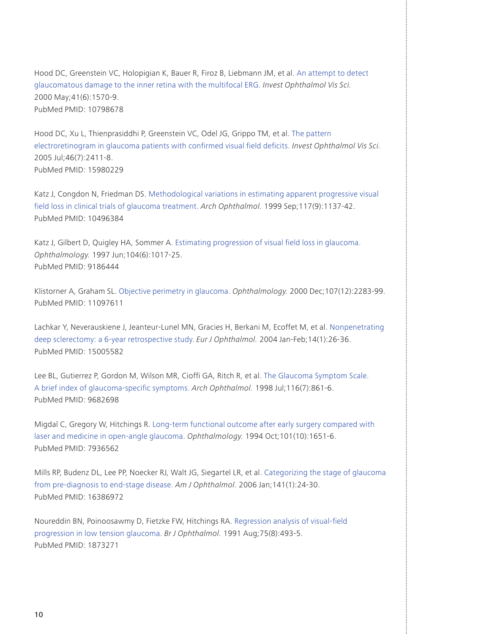Hood DC, Greenstein VC, Holopigian K, Bauer R, Firoz B, Liebmann JM, et al. [An attempt to detect](http://www.ncbi.nlm.nih.gov/pubmed/?term=10798678)  [glaucomatous damage to the inner retina with the multifocal ERG.](http://www.ncbi.nlm.nih.gov/pubmed/?term=10798678) *Invest Ophthalmol Vis Sci.* 2000 May;41(6):1570-9. PubMed PMID: 10798678

Hood DC, Xu L, Thienprasiddhi P, Greenstein VC, Odel JG, Grippo TM, et al. [The pattern](http://www.ncbi.nlm.nih.gov/pubmed/?term=15980229)  [electroretinogram in glaucoma patients with confirmed visual field deficits.](http://www.ncbi.nlm.nih.gov/pubmed/?term=15980229) *Invest Ophthalmol Vis Sci.*  2005 Jul;46(7):2411-8. PubMed PMID: 15980229

Katz J, Congdon N, Friedman DS. [Methodological variations in estimating apparent progressive visual](http://www.ncbi.nlm.nih.gov/pubmed/?term=10496384)  [field loss in clinical trials of glaucoma treatment.](http://www.ncbi.nlm.nih.gov/pubmed/?term=10496384) *Arch Ophthalmol.* 1999 Sep;117(9):1137-42. PubMed PMID: 10496384

Katz J, Gilbert D, Quigley HA, Sommer A. [Estimating progression of visual field loss in glaucoma.](http://www.ncbi.nlm.nih.gov/pubmed/?term=9186444) *Ophthalmology.* 1997 Jun;104(6):1017-25. PubMed PMID: 9186444

Klistorner A, Graham SL. [Objective perimetry in glaucoma.](http://www.ncbi.nlm.nih.gov/pubmed/?term=11097611) *Ophthalmology.* 2000 Dec;107(12):2283-99. PubMed PMID: 11097611

Lachkar Y, Neverauskiene J, Jeanteur-Lunel MN, Gracies H, Berkani M, Ecoffet M, et al. [Nonpenetrating](http://www.ncbi.nlm.nih.gov/pubmed/?term=15005582)  [deep sclerectomy: a 6-year retrospective study.](http://www.ncbi.nlm.nih.gov/pubmed/?term=15005582) *Eur J Ophthalmol.* 2004 Jan-Feb;14(1):26-36. PubMed PMID: 15005582

Lee BL, Gutierrez P, Gordon M, Wilson MR, Cioffi GA, Ritch R, et al. [The Glaucoma Symptom Scale.](http://www.ncbi.nlm.nih.gov/pubmed/?term=9682698)  [A brief index of glaucoma-specific symptoms.](http://www.ncbi.nlm.nih.gov/pubmed/?term=9682698) *Arch Ophthalmol.* 1998 Jul;116(7):861-6. PubMed PMID: 9682698

Migdal C, Gregory W, Hitchings R. [Long-term functional outcome after early surgery compared with](http://www.ncbi.nlm.nih.gov/pubmed/?term=7936562)  [laser and medicine in open-angle glaucoma.](http://www.ncbi.nlm.nih.gov/pubmed/?term=7936562) *Ophthalmology.* 1994 Oct;101(10):1651-6. PubMed PMID: 7936562

Mills RP, Budenz DL, Lee PP, Noecker RJ, Walt JG, Siegartel LR, et al. [Categorizing the stage of glaucoma](http://www.ncbi.nlm.nih.gov/pubmed/?term=16386972)  [from pre-diagnosis to end-stage disease.](http://www.ncbi.nlm.nih.gov/pubmed/?term=16386972) *Am J Ophthalmol.* 2006 Jan;141(1):24-30. PubMed PMID: 16386972

Noureddin BN, Poinoosawmy D, Fietzke FW, Hitchings RA. [Regression analysis of visual-field](http://www.ncbi.nlm.nih.gov/pubmed/?term=1873271)  [progression in low tension glaucoma.](http://www.ncbi.nlm.nih.gov/pubmed/?term=1873271) *Br J Ophthalmol.* 1991 Aug;75(8):493-5. PubMed PMID: 1873271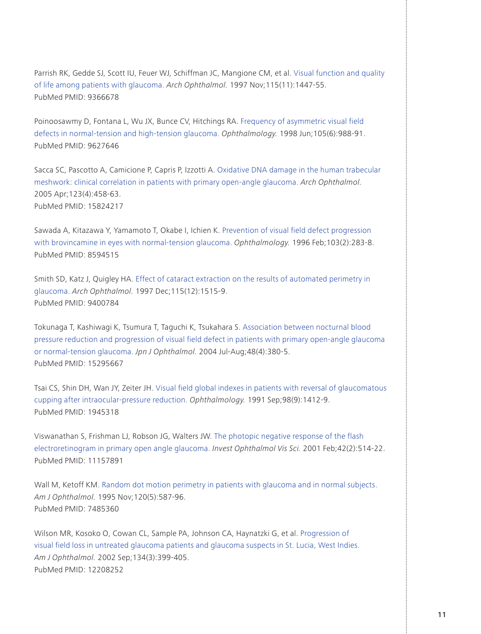Parrish RK, Gedde SJ, Scott IU, Feuer WJ, Schiffman JC, Mangione CM, et al. [Visual function and quality](http://www.ncbi.nlm.nih.gov/pubmed/?term=9366678)  [of life among patients with glaucoma.](http://www.ncbi.nlm.nih.gov/pubmed/?term=9366678) *Arch Ophthalmol.* 1997 Nov;115(11):1447-55. PubMed PMID: 9366678

Poinoosawmy D, Fontana L, Wu JX, Bunce CV, Hitchings RA. [Frequency of asymmetric visual field](http://www.ncbi.nlm.nih.gov/pubmed/?term=9627646)  [defects in normal-tension and high-tension glaucoma](http://www.ncbi.nlm.nih.gov/pubmed/?term=9627646). *Ophthalmology.* 1998 Jun;105(6):988-91. PubMed PMID: 9627646

Sacca SC, Pascotto A, Camicione P, Capris P, Izzotti A. [Oxidative DNA damage in the human trabecular](http://www.ncbi.nlm.nih.gov/pubmed/?term=15824217)  [meshwork: clinical correlation in patients with primary open-angle glaucoma.](http://www.ncbi.nlm.nih.gov/pubmed/?term=15824217) *Arch Ophthalmol.* 2005 Apr;123(4):458-63. PubMed PMID: 15824217

Sawada A, Kitazawa Y, Yamamoto T, Okabe I, Ichien K. [Prevention of visual field defect progression](http://www.ncbi.nlm.nih.gov/pubmed/?term=8594515)  [with brovincamine in eyes with normal-tension glaucoma.](http://www.ncbi.nlm.nih.gov/pubmed/?term=8594515) *Ophthalmology.* 1996 Feb;103(2):283-8. PubMed PMID: 8594515

Smith SD, Katz J, Quigley HA. [Effect of cataract extraction on the results of automated perimetry in](http://www.ncbi.nlm.nih.gov/pubmed/?term=9400784)  [glaucoma](http://www.ncbi.nlm.nih.gov/pubmed/?term=9400784). *Arch Ophthalmol.* 1997 Dec;115(12):1515-9. PubMed PMID: 9400784

Tokunaga T, Kashiwagi K, Tsumura T, Taguchi K, Tsukahara S. [Association between nocturnal blood](http://www.ncbi.nlm.nih.gov/pubmed/?term=15295667)  [pressure reduction and progression of visual field defect in patients with primary open-angle glaucoma](http://www.ncbi.nlm.nih.gov/pubmed/?term=15295667)  [or normal-tension glaucoma.](http://www.ncbi.nlm.nih.gov/pubmed/?term=15295667) *Jpn J Ophthalmol.* 2004 Jul-Aug;48(4):380-5. PubMed PMID: 15295667

Tsai CS, Shin DH, Wan JY, Zeiter JH. [Visual field global indexes in patients with reversal of glaucomatous](http://www.ncbi.nlm.nih.gov/pubmed/?term=1945318)  [cupping after intraocular-pressure reduction.](http://www.ncbi.nlm.nih.gov/pubmed/?term=1945318) *Ophthalmology.* 1991 Sep;98(9):1412-9. PubMed PMID: 1945318

Viswanathan S, Frishman LJ, Robson JG, Walters JW. [The photopic negative response of the flash](http://www.ncbi.nlm.nih.gov/pubmed/?term=11157891)  [electroretinogram in primary open angle glaucoma.](http://www.ncbi.nlm.nih.gov/pubmed/?term=11157891) *Invest Ophthalmol Vis Sci.* 2001 Feb;42(2):514-22. PubMed PMID: 11157891

Wall M, Ketoff KM. [Random dot motion perimetry in patients with glaucoma and in normal subjects.](http://www.ncbi.nlm.nih.gov/pubmed/?term=7485360) *Am J Ophthalmol.* 1995 Nov;120(5):587-96. PubMed PMID: 7485360

Wilson MR, Kosoko O, Cowan CL, Sample PA, Johnson CA, Haynatzki G, et al. [Progression of](http://www.ncbi.nlm.nih.gov/pubmed/?term=12208252)  [visual field loss in untreated glaucoma patients and glaucoma suspects in St. Lucia, West Indies.](http://www.ncbi.nlm.nih.gov/pubmed/?term=12208252)  *Am J Ophthalmol.* 2002 Sep;134(3):399-405. PubMed PMID: 12208252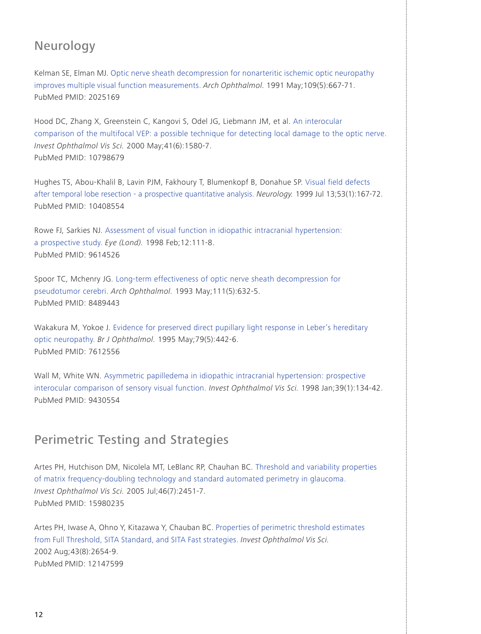### Neurology

Kelman SE, Elman MJ. [Optic nerve sheath decompression for nonarteritic ischemic optic neuropathy](http://www.ncbi.nlm.nih.gov/pubmed/?term=2025169)  [improves multiple visual function measurements.](http://www.ncbi.nlm.nih.gov/pubmed/?term=2025169) *Arch Ophthalmol.* 1991 May;109(5):667-71. PubMed PMID: 2025169

Hood DC, Zhang X, Greenstein C, Kangovi S, Odel JG, Liebmann JM, et al. [An interocular](http://www.ncbi.nlm.nih.gov/pubmed/?term=10798679)  [comparison of the multifocal VEP: a possible technique for detecting local damage to the optic nerve.](http://www.ncbi.nlm.nih.gov/pubmed/?term=10798679) *Invest Ophthalmol Vis Sci.* 2000 May;41(6):1580-7. PubMed PMID: 10798679

Hughes TS, Abou-Khalil B, Lavin PJM, Fakhoury T, Blumenkopf B, Donahue SP. [Visual field defects](http://www.ncbi.nlm.nih.gov/pubmed/?term=10408554)  [after temporal lobe resection - a prospective quantitative analysis.](http://www.ncbi.nlm.nih.gov/pubmed/?term=10408554) *Neurology.* 1999 Jul 13;53(1):167-72. PubMed PMID: 10408554

Rowe FJ, Sarkies NJ. [Assessment of visual function in idiopathic intracranial hypertension:](http://www.ncbi.nlm.nih.gov/pubmed/?term=9614526)  [a prospective study.](http://www.ncbi.nlm.nih.gov/pubmed/?term=9614526) *Eye (Lond).* 1998 Feb;12:111-8. PubMed PMID: 9614526

Spoor TC, Mchenry JG. [Long-term effectiveness of optic nerve sheath decompression for](http://www.ncbi.nlm.nih.gov/pubmed/?term=8489443)  [pseudotumor cerebri.](http://www.ncbi.nlm.nih.gov/pubmed/?term=8489443) *Arch Ophthalmol.* 1993 May;111(5):632-5. PubMed PMID: 8489443

Wakakura M, Yokoe J. [Evidence for preserved direct pupillary light response in Leber's hereditary](http://www.ncbi.nlm.nih.gov/pubmed/?term=7612556)  [optic neuropathy.](http://www.ncbi.nlm.nih.gov/pubmed/?term=7612556) *Br J Ophthalmol.* 1995 May;79(5):442-6. PubMed PMID: 7612556

Wall M, White WN. [Asymmetric papilledema in idiopathic intracranial hypertension: prospective](http://www.ncbi.nlm.nih.gov/pubmed/?term=9430554)  [interocular comparison of sensory visual function.](http://www.ncbi.nlm.nih.gov/pubmed/?term=9430554) *Invest Ophthalmol Vis Sci.* 1998 Jan;39(1):134-42. PubMed PMID: 9430554

#### Perimetric Testing and Strategies

Artes PH, Hutchison DM, Nicolela MT, LeBlanc RP, Chauhan BC. [Threshold and variability properties](http://www.ncbi.nlm.nih.gov/pubmed/?term=15980235)  [of matrix frequency-doubling technology and standard automated perimetry in glaucoma.](http://www.ncbi.nlm.nih.gov/pubmed/?term=15980235) *Invest Ophthalmol Vis Sci.* 2005 Jul;46(7):2451-7. PubMed PMID: 15980235

Artes PH, Iwase A, Ohno Y, Kitazawa Y, Chauban BC. [Properties of perimetric threshold estimates](http://www.ncbi.nlm.nih.gov/pubmed/?term=12147599)  [from Full Threshold, SITA Standard, and SITA Fast strategies.](http://www.ncbi.nlm.nih.gov/pubmed/?term=12147599) *Invest Ophthalmol Vis Sci.* 2002 Aug;43(8):2654-9. PubMed PMID: 12147599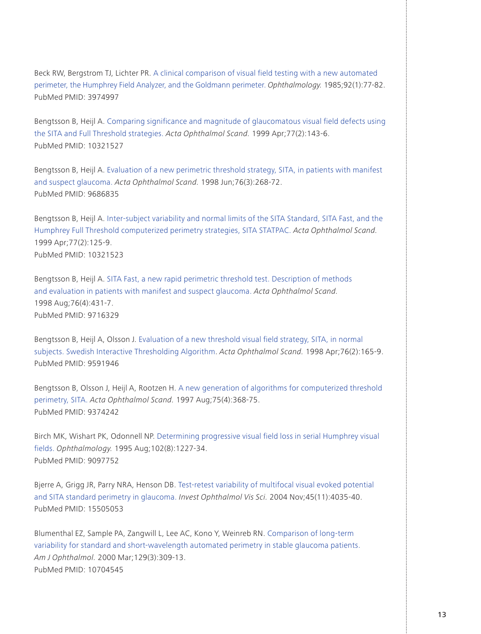Beck RW, Bergstrom TJ, Lichter PR. [A clinical comparison of visual field testing with a new automated](http://www.ncbi.nlm.nih.gov/pubmed/?term=3974997)  [perimeter, the Humphrey Field Analyzer, and the Goldmann perimeter.](http://www.ncbi.nlm.nih.gov/pubmed/?term=3974997) *Ophthalmology.* 1985;92(1):77-82. PubMed PMID: 3974997

Bengtsson B, Heijl A. [Comparing significance and magnitude of glaucomatous visual field defects using](http://www.ncbi.nlm.nih.gov/pubmed/?term=10321527)  [the SITA and Full Threshold strategies.](http://www.ncbi.nlm.nih.gov/pubmed/?term=10321527) *Acta Ophthalmol Scand.* 1999 Apr;77(2):143-6. PubMed PMID: 10321527

Bengtsson B, Heijl A. [Evaluation of a new perimetric threshold strategy, SITA, in patients with manifest](http://www.ncbi.nlm.nih.gov/pubmed/?term=9686835)  [and suspect glaucoma](http://www.ncbi.nlm.nih.gov/pubmed/?term=9686835). *Acta Ophthalmol Scand.* 1998 Jun;76(3):268-72. PubMed PMID: 9686835

Bengtsson B, Heijl A. I[nter-subject variability and normal limits of the SITA Standard, SITA Fast, and the](http://www.ncbi.nlm.nih.gov/pubmed/?term=10321523)  [Humphrey Full Threshold computerized perimetry strategies, SITA STATPAC.](http://www.ncbi.nlm.nih.gov/pubmed/?term=10321523) *Acta Ophthalmol Scand.*  1999 Apr;77(2):125-9. PubMed PMID: 10321523

Bengtsson B, Heijl A. [SITA Fast, a new rapid perimetric threshold test. Description of methods](http://www.ncbi.nlm.nih.gov/pubmed/?term=9716329)  [and evaluation in patients with manifest and suspect glaucoma.](http://www.ncbi.nlm.nih.gov/pubmed/?term=9716329) *Acta Ophthalmol Scand.* 1998 Aug;76(4):431-7. PubMed PMID: 9716329

Bengtsson B, Heijl A, Olsson J. [Evaluation of a new threshold visual field strategy, SITA, in normal](http://www.ncbi.nlm.nih.gov/pubmed/?term=9591946)  [subjects. Swedish Interactive Thresholding Algorithm](http://www.ncbi.nlm.nih.gov/pubmed/?term=9591946). *Acta Ophthalmol Scand.* 1998 Apr;76(2):165-9. PubMed PMID: 9591946

Bengtsson B, Olsson J, Heijl A, Rootzen H. [A new generation of algorithms for computerized threshold](http://www.ncbi.nlm.nih.gov/pubmed/?term=9374242)  [perimetry, SITA](http://www.ncbi.nlm.nih.gov/pubmed/?term=9374242). *Acta Ophthalmol Scand.* 1997 Aug;75(4):368-75. PubMed PMID: 9374242

Birch MK, Wishart PK, Odonnell NP. [Determining progressive visual field loss in serial Humphrey visual](http://www.ncbi.nlm.nih.gov/pubmed/?term=9097752)  [fields.](http://www.ncbi.nlm.nih.gov/pubmed/?term=9097752) *Ophthalmology.* 1995 Aug;102(8):1227-34. PubMed PMID: 9097752

Bjerre A, Grigg JR, Parry NRA, Henson DB. [Test-retest variability of multifocal visual evoked potential](http://www.ncbi.nlm.nih.gov/pubmed/?term=15505053)  [and SITA standard perimetry in glaucoma](http://www.ncbi.nlm.nih.gov/pubmed/?term=15505053). *Invest Ophthalmol Vis Sci.* 2004 Nov;45(11):4035-40. PubMed PMID: 15505053

Blumenthal EZ, Sample PA, Zangwill L, Lee AC, Kono Y, Weinreb RN. [Comparison of long-term](http://www.ncbi.nlm.nih.gov/pubmed/?term=10704545)  [variability for standard and short-wavelength automated perimetry in stable glaucoma patients.](http://www.ncbi.nlm.nih.gov/pubmed/?term=10704545) *Am J Ophthalmol.* 2000 Mar;129(3):309-13. PubMed PMID: 10704545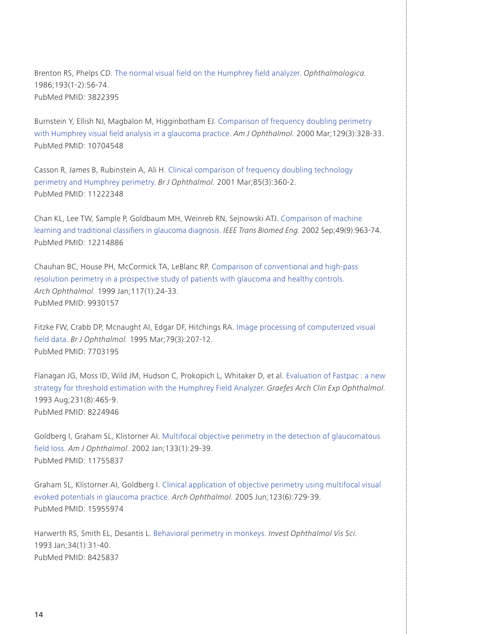Brenton RS, Phelps CD. [The normal visual field on the Humphrey field analyzer.](http://www.ncbi.nlm.nih.gov/pubmed/?term=3822395) *Ophthalmologica.*  1986;193(1-2):56-74. PubMed PMID: 3822395

Burnstein Y, Ellish NJ, Magbalon M, Higginbotham EJ. [Comparison of frequency doubling perimetry](http://www.ncbi.nlm.nih.gov/pubmed/?term=10704548)  [with Humphrey visual field analysis in a glaucoma practice.](http://www.ncbi.nlm.nih.gov/pubmed/?term=10704548) *Am J Ophthalmol.* 2000 Mar;129(3):328-33. PubMed PMID: 10704548

Casson R, James B, Rubinstein A, Ali H. [Clinical comparison of frequency doubling technology](http://www.ncbi.nlm.nih.gov/pubmed/?term=11222348)  [perimetry and Humphrey perimetry.](http://www.ncbi.nlm.nih.gov/pubmed/?term=11222348) *Br J Ophthalmol.* 2001 Mar;85(3):360-2. PubMed PMID: 11222348

Chan KL, Lee TW, Sample P, Goldbaum MH, Weinreb RN, Sejnowski ATJ. [Comparison of machine](http://www.ncbi.nlm.nih.gov/pubmed/?term=12214886)  [learning and traditional classifiers in glaucoma diagnosis.](http://www.ncbi.nlm.nih.gov/pubmed/?term=12214886) *IEEE Trans Biomed Eng.* 2002 Sep;49(9):963-74. PubMed PMID: 12214886

Chauhan BC, House PH, McCormick TA, LeBlanc RP. [Comparison of conventional and high-pass](http://www.ncbi.nlm.nih.gov/pubmed/?term=9930157)  [resolution perimetry in a prospective study of patients with glaucoma and healthy controls.](http://www.ncbi.nlm.nih.gov/pubmed/?term=9930157) *Arch Ophthalmol.* 1999 Jan;117(1):24-33. PubMed PMID: 9930157

Fitzke FW, Crabb DP, Mcnaught AI, Edgar DF, Hitchings RA. [Image processing of computerized visual](http://www.ncbi.nlm.nih.gov/pubmed/?term=7703195)  [field data.](http://www.ncbi.nlm.nih.gov/pubmed/?term=7703195) *Br J Ophthalmol.* 1995 Mar;79(3):207-12. PubMed PMID: 7703195

Flanagan JG, Moss ID, Wild JM, Hudson C, Prokopich L, Whitaker D, et al. [Evaluation of Fastpac : a new](http://www.ncbi.nlm.nih.gov/pubmed/?term=8224946)  [strategy for threshold estimation with the Humphrey Field Analyzer.](http://www.ncbi.nlm.nih.gov/pubmed/?term=8224946) *Graefes Arch Clin Exp Ophthalmol.* 1993 Aug;231(8):465-9. PubMed PMID: 8224946

Goldberg I, Graham SL, Klistorner AI. [Multifocal objective perimetry in the detection of glaucomatous](http://www.ncbi.nlm.nih.gov/pubmed/?term=11755837)  [field loss.](http://www.ncbi.nlm.nih.gov/pubmed/?term=11755837) *Am J Ophthalmol.* 2002 Jan;133(1):29-39. PubMed PMID: 11755837

Graham SL, Klistorner AI, Goldberg I. [Clinical application of objective perimetry using multifocal visual](http://www.ncbi.nlm.nih.gov/pubmed/?term=15955974)  [evoked potentials in glaucoma practice.](http://www.ncbi.nlm.nih.gov/pubmed/?term=15955974) *Arch Ophthalmol.* 2005 Jun;123(6):729-39. PubMed PMID: 15955974

Harwerth RS, Smith EL, Desantis L. [Behavioral perimetry in monkeys.](http://www.ncbi.nlm.nih.gov/pubmed/?term=8425837) *Invest Ophthalmol Vis Sci.* 1993 Jan;34(1):31-40. PubMed PMID: 8425837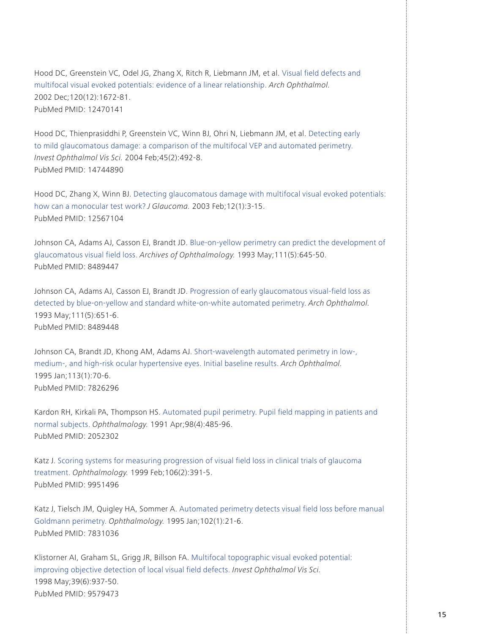Hood DC, Greenstein VC, Odel JG, Zhang X, Ritch R, Liebmann JM, et al. [Visual field defects and](http://www.ncbi.nlm.nih.gov/pubmed/?term=12470141)  [multifocal visual evoked potentials: evidence of a linear relationship.](http://www.ncbi.nlm.nih.gov/pubmed/?term=12470141) *Arch Ophthalmol.* 2002 Dec;120(12):1672-81. PubMed PMID: 12470141

Hood DC, Thienprasiddhi P, Greenstein VC, Winn BJ, Ohri N, Liebmann JM, et al. [Detecting early](http://www.ncbi.nlm.nih.gov/pubmed/?term=14744890)  [to mild glaucomatous damage: a comparison of the multifocal VEP and automated perimetry.](http://www.ncbi.nlm.nih.gov/pubmed/?term=14744890) *Invest Ophthalmol Vis Sci.* 2004 Feb;45(2):492-8. PubMed PMID: 14744890

Hood DC, Zhang X, Winn BJ. [Detecting glaucomatous damage with multifocal visual evoked potentials:](http://www.ncbi.nlm.nih.gov/pubmed/?term=12567104)  [how can a monocular test work?](http://www.ncbi.nlm.nih.gov/pubmed/?term=12567104) *J Glaucoma.* 2003 Feb;12(1):3-15. PubMed PMID: 12567104

Johnson CA, Adams AJ, Casson EJ, Brandt JD. [Blue-on-yellow perimetry can predict the development of](http://www.ncbi.nlm.nih.gov/pubmed/?term=8489447)  [glaucomatous visual field loss.](http://www.ncbi.nlm.nih.gov/pubmed/?term=8489447) *Archives of Ophthalmology.* 1993 May;111(5):645-50. PubMed PMID: 8489447

Johnson CA, Adams AJ, Casson EJ, Brandt JD. [Progression of early glaucomatous visual-field loss as](http://www.ncbi.nlm.nih.gov/pubmed/?term=8489448)  [detected by blue-on-yellow and standard white-on-white automated perimetry.](http://www.ncbi.nlm.nih.gov/pubmed/?term=8489448) *Arch Ophthalmol.*  1993 May;111(5):651-6. PubMed PMID: 8489448

Johnson CA, Brandt JD, Khong AM, Adams AJ. [Short-wavelength automated perimetry in low-,](http://www.ncbi.nlm.nih.gov/pubmed/?term=7826296)  [medium-, and high-risk ocular hypertensive eyes. Initial baseline results.](http://www.ncbi.nlm.nih.gov/pubmed/?term=7826296) *Arch Ophthalmol.* 1995 Jan;113(1):70-6. PubMed PMID: 7826296

Kardon RH, Kirkali PA, Thompson HS. [Automated pupil perimetry. Pupil field mapping in patients and](http://www.ncbi.nlm.nih.gov/pubmed/?term=2052302)  [normal subjects.](http://www.ncbi.nlm.nih.gov/pubmed/?term=2052302) *Ophthalmology.* 1991 Apr;98(4):485-96. PubMed PMID: 2052302

Katz J. [Scoring systems for measuring progression of visual field loss in clinical trials of glaucoma](http://www.ncbi.nlm.nih.gov/pubmed/?term=9951496)  [treatment.](http://www.ncbi.nlm.nih.gov/pubmed/?term=9951496) *Ophthalmology.* 1999 Feb;106(2):391-5. PubMed PMID: 9951496

Katz J, Tielsch JM, Quigley HA, Sommer A. [Automated perimetry detects visual field loss before manual](http://www.ncbi.nlm.nih.gov/pubmed/?term=7831036)  [Goldmann perimetry.](http://www.ncbi.nlm.nih.gov/pubmed/?term=7831036) *Ophthalmology.* 1995 Jan;102(1):21-6. PubMed PMID: 7831036

Klistorner AI, Graham SL, Grigg JR, Billson FA. [Multifocal topographic visual evoked potential:](http://www.ncbi.nlm.nih.gov/pubmed/?term=9579473)  [improving objective detection of local visual field defects.](http://www.ncbi.nlm.nih.gov/pubmed/?term=9579473) *Invest Ophthalmol Vis Sci.* 1998 May;39(6):937-50. PubMed PMID: 9579473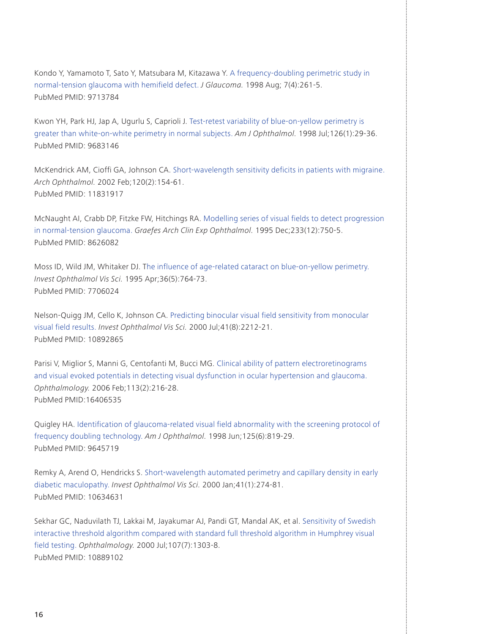Kondo Y, Yamamoto T, Sato Y, Matsubara M, Kitazawa Y. [A frequency-doubling perimetric study in](http://www.ncbi.nlm.nih.gov/pubmed/?term=9713784)  [normal-tension glaucoma with hemifield defect.](http://www.ncbi.nlm.nih.gov/pubmed/?term=9713784) *J Glaucoma.* 1998 Aug; 7(4):261-5. PubMed PMID: 9713784

Kwon YH, Park HJ, Jap A, Ugurlu S, Caprioli J. [Test-retest variability of blue-on-yellow perimetry is](http://www.ncbi.nlm.nih.gov/pubmed/?term=9683146)  [greater than white-on-white perimetry in normal subjects.](http://www.ncbi.nlm.nih.gov/pubmed/?term=9683146) *Am J Ophthalmol.* 1998 Jul;126(1):29-36. PubMed PMID: 9683146

McKendrick AM, Cioffi GA, Johnson CA. [Short-wavelength sensitivity deficits in patients with migraine.](http://www.ncbi.nlm.nih.gov/pubmed/?term=11831917) *Arch Ophthalmol.* 2002 Feb;120(2):154-61. PubMed PMID: 11831917

McNaught AI, Crabb DP, Fitzke FW, Hitchings RA. [Modelling series of visual fields to detect progression](http://www.ncbi.nlm.nih.gov/pubmed/?term=8626082)  [in normal-tension glaucoma.](http://www.ncbi.nlm.nih.gov/pubmed/?term=8626082) *Graefes Arch Clin Exp Ophthalmol.* 1995 Dec;233(12):750-5. PubMed PMID: 8626082

Moss ID, Wild JM, Whitaker DJ. T[he influence of age-related cataract on blue-on-yellow perimetry.](http://www.ncbi.nlm.nih.gov/pubmed/?term=7706024) *Invest Ophthalmol Vis Sci.* 1995 Apr;36(5):764-73. PubMed PMID: 7706024

Nelson-Quigg JM, Cello K, Johnson CA. [Predicting binocular visual field sensitivity from monocular](http://www.ncbi.nlm.nih.gov/pubmed/?term=10892865)  [visual field results.](http://www.ncbi.nlm.nih.gov/pubmed/?term=10892865) *Invest Ophthalmol Vis Sci.* 2000 Jul;41(8):2212-21. PubMed PMID: 10892865

Parisi V, Miglior S, Manni G, Centofanti M, Bucci MG. [Clinical ability of pattern electroretinograms](http://www.ncbi.nlm.nih.gov/pubmed/?term=16406535)  [and visual evoked potentials in detecting visual dysfunction in ocular hypertension and glaucoma.](http://www.ncbi.nlm.nih.gov/pubmed/?term=16406535) *Ophthalmology.* 2006 Feb;113(2):216-28. PubMed PMID:16406535

Quigley HA. [Identification of glaucoma-related visual field abnormality with the screening protocol of](http://www.ncbi.nlm.nih.gov/pubmed/?term=9645719)  [frequency doubling technology.](http://www.ncbi.nlm.nih.gov/pubmed/?term=9645719) *Am J Ophthalmol.* 1998 Jun;125(6):819-29. PubMed PMID: 9645719

Remky A, Arend O, Hendricks S. [Short-wavelength automated perimetry and capillary density in early](http://www.ncbi.nlm.nih.gov/pubmed/?term=10634631)  [diabetic maculopathy.](http://www.ncbi.nlm.nih.gov/pubmed/?term=10634631) *Invest Ophthalmol Vis Sci.* 2000 Jan;41(1):274-81. PubMed PMID: 10634631

Sekhar GC, Naduvilath TJ, Lakkai M, Jayakumar AJ, Pandi GT, Mandal AK, et al. [Sensitivity of Swedish](http://www.ncbi.nlm.nih.gov/pubmed/?term=10889102)  [interactive threshold algorithm compared with standard full threshold algorithm in Humphrey visual](http://www.ncbi.nlm.nih.gov/pubmed/?term=10889102)  [field testing.](http://www.ncbi.nlm.nih.gov/pubmed/?term=10889102) *Ophthalmology.* 2000 Jul;107(7):1303-8. PubMed PMID: 10889102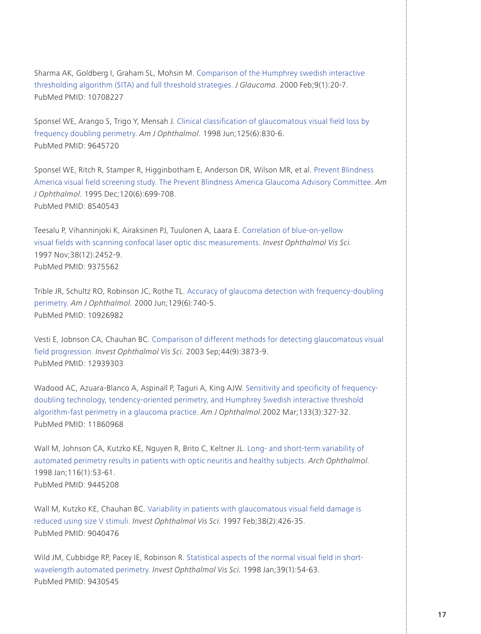Sharma AK, Goldberg I, Graham SL, Mohsin M. [Comparison of the Humphrey swedish interactive](http://www.ncbi.nlm.nih.gov/pubmed/?term=10708227)  [thresholding algorithm \(SITA\) and full threshold strategies.](http://www.ncbi.nlm.nih.gov/pubmed/?term=10708227) *J Glaucoma.* 2000 Feb;9(1):20-7. PubMed PMID: 10708227

Sponsel WE, Arango S, Trigo Y, Mensah J. [Clinical classification of glaucomatous visual field loss by](http://www.ncbi.nlm.nih.gov/pubmed/?term=9645720)  [frequency doubling perimetry.](http://www.ncbi.nlm.nih.gov/pubmed/?term=9645720) *Am J Ophthalmol.* 1998 Jun;125(6):830-6. PubMed PMID: 9645720

Sponsel WE, Ritch R, Stamper R, Higginbotham E, Anderson DR, Wilson MR, et al. [P](http://www.ncbi.nlm.nih.gov/pubmed/?term=8540543)revent Blindness America visual field screening study. The Prevent Blindness America Glaucoma Advisory Committee. *Am J Ophthalmol.* 1995 Dec;120(6):699-708. PubMed PMID: 8540543

Teesalu P, Vihanninjoki K, Airaksinen PJ, Tuulonen A, Laara E. [Correlation of blue-on-yellow](http://www.ncbi.nlm.nih.gov/pubmed/?term=9375562)  [visual fields with scanning confocal laser optic disc measurements.](http://www.ncbi.nlm.nih.gov/pubmed/?term=9375562) *Invest Ophthalmol Vis Sci.*  1997 Nov;38(12):2452-9. PubMed PMID: 9375562

Trible JR, Schultz RO, Robinson JC, Rothe TL. [Accuracy of glaucoma detection with frequency-doubling](http://www.ncbi.nlm.nih.gov/pubmed/?term=10926982)  [perimetry.](http://www.ncbi.nlm.nih.gov/pubmed/?term=10926982) *Am J Ophthalmol.* 2000 Jun;129(6):740-5. PubMed PMID: 10926982

Vesti E, Jobnson CA, Chauhan BC. [Comparison of different methods for detecting glaucomatous visual](http://www.ncbi.nlm.nih.gov/pubmed/?term=12939303)  [field progression.](http://www.ncbi.nlm.nih.gov/pubmed/?term=12939303) *Invest Ophthalmol Vis Sci.* 2003 Sep;44(9):3873-9. PubMed PMID: 12939303

Wadood AC, Azuara-Blanco A, Aspinall P, Taguri A, King AJW. [Sensitivity and specificity of frequency](http://www.ncbi.nlm.nih.gov/pubmed/?term=11860968)[doubling technology, tendency-oriented perimetry, and Humphrey Swedish interactive threshold](http://www.ncbi.nlm.nih.gov/pubmed/?term=11860968)  [algorithm-fast perimetry in a glaucoma practice.](http://www.ncbi.nlm.nih.gov/pubmed/?term=11860968) *Am J Ophthalmol.*2002 Mar;133(3):327-32. PubMed PMID: 11860968

Wall M, Johnson CA, Kutzko KE, Nguyen R, Brito C, Keltner JL. [Long- and short-term variability of](http://www.ncbi.nlm.nih.gov/pubmed/?term=9445208)  [automated perimetry results in patients with optic neuritis and healthy subjects.](http://www.ncbi.nlm.nih.gov/pubmed/?term=9445208) *Arch Ophthalmol.*  1998 Jan;116(1):53-61. PubMed PMID: 9445208

Wall M, Kutzko KE, Chauhan BC. [Variability in patients with glaucomatous visual field damage is](http://www.ncbi.nlm.nih.gov/pubmed/?term=9040476)  [reduced using size V stimuli.](http://www.ncbi.nlm.nih.gov/pubmed/?term=9040476) *Invest Ophthalmol Vis Sci.* 1997 Feb;38(2):426-35. PubMed PMID: 9040476

Wild JM, Cubbidge RP, Pacey IE, Robinson R. [Statistical aspects of the normal visual field in short](http://www.ncbi.nlm.nih.gov/pubmed/?term=9430545)[wavelength automated perimetry.](http://www.ncbi.nlm.nih.gov/pubmed/?term=9430545) *Invest Ophthalmol Vis Sci.* 1998 Jan;39(1):54-63. PubMed PMID: 9430545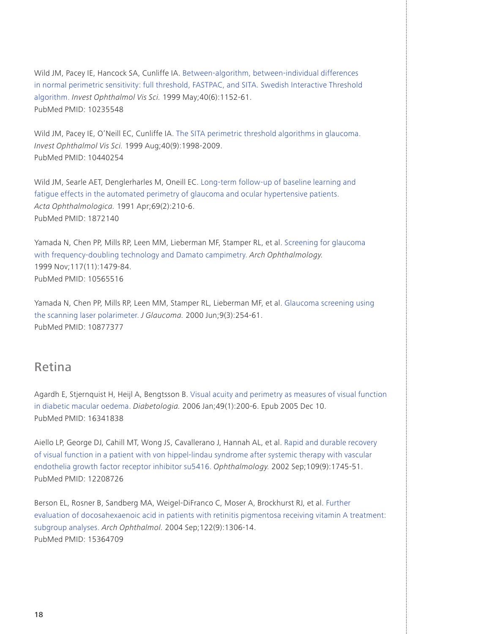Wild JM, Pacey IE, Hancock SA, Cunliffe IA. [Between-algorithm, between-individual differences](http://www.ncbi.nlm.nih.gov/pubmed/?term=10235548)  [in normal perimetric sensitivity: full threshold, FASTPAC, and SITA. Swedish Interactive Threshold](http://www.ncbi.nlm.nih.gov/pubmed/?term=10235548)  [algorithm.](http://www.ncbi.nlm.nih.gov/pubmed/?term=10235548) *Invest Ophthalmol Vis Sci.* 1999 May;40(6):1152-61. PubMed PMID: 10235548

Wild JM, Pacey IE, O'Neill EC, Cunliffe IA. [The SITA perimetric threshold algorithms in glaucoma.](http://www.ncbi.nlm.nih.gov/pubmed/?term=10440254)  *Invest Ophthalmol Vis Sci.* 1999 Aug;40(9):1998-2009. PubMed PMID: 10440254

Wild JM, Searle AET, Denglerharles M, Oneill EC. [Long-term follow-up of baseline learning and](http://www.ncbi.nlm.nih.gov/pubmed/?term=1872140)  [fatigue effects in the automated perimetry of glaucoma and ocular hypertensive patients.](http://www.ncbi.nlm.nih.gov/pubmed/?term=1872140)  *Acta Ophthalmologica.* 1991 Apr;69(2):210-6. PubMed PMID: 1872140

Yamada N, Chen PP, Mills RP, Leen MM, Lieberman MF, Stamper RL, et al. [Screening for glaucoma](http://www.ncbi.nlm.nih.gov/pubmed/?term=10565516)  [with frequency-doubling technology and Damato campimetry.](http://www.ncbi.nlm.nih.gov/pubmed/?term=10565516) *Arch Ophthalmology.* 1999 Nov;117(11):1479-84. PubMed PMID: 10565516

Yamada N, Chen PP, Mills RP, Leen MM, Stamper RL, Lieberman MF, et al. [Glaucoma screening using](http://www.ncbi.nlm.nih.gov/pubmed/?term=10877377)  [the scanning laser polarimeter.](http://www.ncbi.nlm.nih.gov/pubmed/?term=10877377) *J Glaucoma.* 2000 Jun;9(3):254-61. PubMed PMID: 10877377

#### Retina

Agardh E, Stjernquist H, Heijl A, Bengtsson B. [Visual acuity and perimetry as measures of visual function](http://www.ncbi.nlm.nih.gov/pubmed/?term=16341838) [in diabetic macular oedema.](http://www.ncbi.nlm.nih.gov/pubmed/?term=16341838) *Diabetologia.* 2006 Jan;49(1):200-6. Epub 2005 Dec 10. PubMed PMID: 16341838

Aiello LP, George DJ, Cahill MT, Wong JS, Cavallerano J, Hannah AL, et al. [Rapid and durable recovery](http://www.ncbi.nlm.nih.gov/pubmed/?term=12208726)  [of visual function in a patient with von hippel-lindau syndrome after systemic therapy with vascular](http://www.ncbi.nlm.nih.gov/pubmed/?term=12208726)  [endothelia growth factor receptor inhibitor su5416.](http://www.ncbi.nlm.nih.gov/pubmed/?term=12208726) *Ophthalmology.* 2002 Sep;109(9):1745-51. PubMed PMID: 12208726

Berson EL, Rosner B, Sandberg MA, Weigel-DiFranco C, Moser A, Brockhurst RJ, et al. [Further](http://www.ncbi.nlm.nih.gov/pubmed/?term=15364709)  [evaluation of docosahexaenoic acid in patients with retinitis pigmentosa receiving vitamin A treatment:](http://www.ncbi.nlm.nih.gov/pubmed/?term=15364709)  [subgroup analyses.](http://www.ncbi.nlm.nih.gov/pubmed/?term=15364709) *Arch Ophthalmol.* 2004 Sep;122(9):1306-14. PubMed PMID: 15364709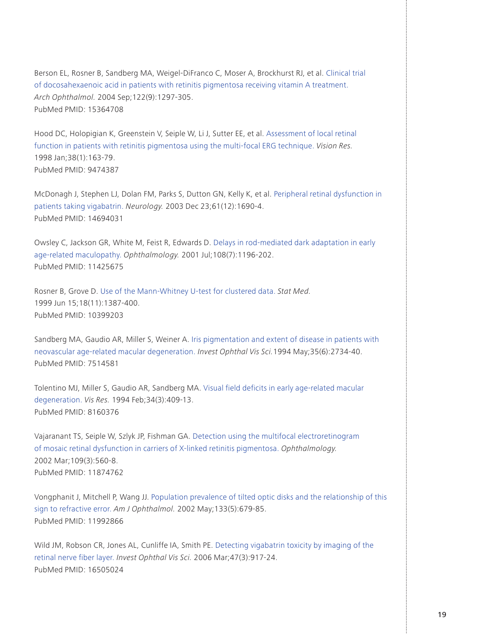Berson EL, Rosner B, Sandberg MA, Weigel-DiFranco C, Moser A, Brockhurst RJ, et al. [Clinical trial](http://www.ncbi.nlm.nih.gov/pubmed/?term=15364708)  [of docosahexaenoic acid in patients with retinitis pigmentosa receiving vitamin A treatment.](http://www.ncbi.nlm.nih.gov/pubmed/?term=15364708) *Arch Ophthalmol.* 2004 Sep;122(9):1297-305. PubMed PMID: 15364708

Hood DC, Holopigian K, Greenstein V, Seiple W, Li J, Sutter EE, et al. [Assessment of local retinal](http://www.ncbi.nlm.nih.gov/pubmed/?term=9474387)  [function in patients with retinitis pigmentosa using the multi-focal ERG technique.](http://www.ncbi.nlm.nih.gov/pubmed/?term=9474387) *Vision Res.* 1998 Jan;38(1):163-79. PubMed PMID: 9474387

McDonagh J, Stephen LJ, Dolan FM, Parks S, Dutton GN, Kelly K, et al. [Peripheral retinal dysfunction in](http://www.ncbi.nlm.nih.gov/pubmed/?term=14694031)  [patients taking vigabatrin.](http://www.ncbi.nlm.nih.gov/pubmed/?term=14694031) *Neurology.* 2003 Dec 23;61(12):1690-4. PubMed PMID: 14694031

Owsley C, Jackson GR, White M, Feist R, Edwards D. [Delays in rod-mediated dark adaptation in early](http://www.ncbi.nlm.nih.gov/pubmed/11425675)  [age-related maculopathy.](http://www.ncbi.nlm.nih.gov/pubmed/11425675) *Ophthalmology.* 2001 Jul;108(7):1196-202. PubMed PMID: 11425675

Rosner B, Grove D. [Use of the Mann-Whitney U-test for clustered data.](http://www.ncbi.nlm.nih.gov/pubmed/?term=10399203) *Stat Med.* 1999 Jun 15;18(11):1387-400. PubMed PMID: 10399203

Sandberg MA, Gaudio AR, Miller S, Weiner A. [Iris pigmentation and extent of disease in patients with](http://www.ncbi.nlm.nih.gov/pubmed/?term=7514581)  [neovascular age-related macular degeneration.](http://www.ncbi.nlm.nih.gov/pubmed/?term=7514581) *Invest Ophthal Vis Sci.*1994 May;35(6):2734-40. PubMed PMID: 7514581

Tolentino MJ, Miller S, Gaudio AR, Sandberg MA. [Visual field deficits in early age-related macular](http://www.ncbi.nlm.nih.gov/pubmed/?term=8160376)  [degeneration.](http://www.ncbi.nlm.nih.gov/pubmed/?term=8160376) *Vis Res.* 1994 Feb;34(3):409-13. PubMed PMID: 8160376

Vajaranant TS, Seiple W, Szlyk JP, Fishman GA. [Detection using the multifocal electroretinogram](http://www.ncbi.nlm.nih.gov/pubmed/?term=11874762)  [of mosaic retinal dysfunction in carriers of X-linked retinitis pigmentosa.](http://www.ncbi.nlm.nih.gov/pubmed/?term=11874762) *Ophthalmology.*  2002 Mar;109(3):560-8. PubMed PMID: 11874762

Vongphanit J, Mitchell P, Wang JJ. [Population prevalence of tilted optic disks and the relationship of this](http://www.ncbi.nlm.nih.gov/pubmed/?term=11992866) [sign to refractive error.](http://www.ncbi.nlm.nih.gov/pubmed/?term=11992866) *Am J Ophthalmol.* 2002 May;133(5):679-85. PubMed PMID: 11992866

Wild JM, Robson CR, Jones AL, Cunliffe IA, Smith PE. [Detecting vigabatrin toxicity by imaging of the](http://www.ncbi.nlm.nih.gov/pubmed/?term=16505024)  [retinal nerve fiber layer.](http://www.ncbi.nlm.nih.gov/pubmed/?term=16505024) *Invest Ophthal Vis Sci.* 2006 Mar;47(3):917-24. PubMed PMID: 16505024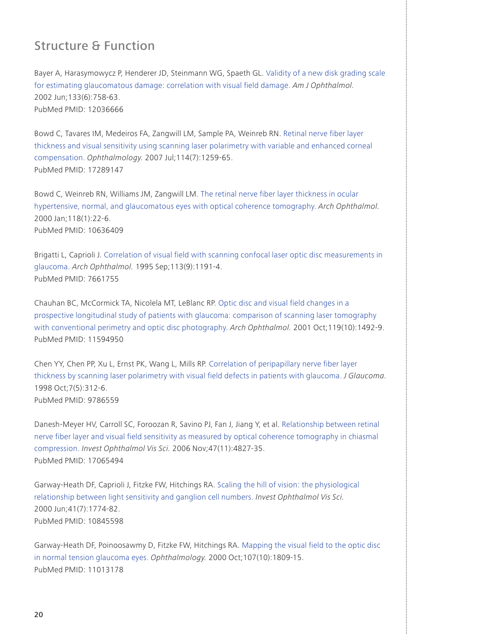#### Structure & Function

Bayer A, Harasymowycz P, Henderer JD, Steinmann WG, Spaeth GL. [Validity of a new disk grading scale](http://www.ncbi.nlm.nih.gov/pubmed/?term=12036666)  [for estimating glaucomatous damage: correlation with visual field damage.](http://www.ncbi.nlm.nih.gov/pubmed/?term=12036666) *Am J Ophthalmol.*  2002 Jun;133(6):758-63. PubMed PMID: 12036666

Bowd C, Tavares IM, Medeiros FA, Zangwill LM, Sample PA, Weinreb RN. [Retinal nerve fiber layer](http://www.ncbi.nlm.nih.gov/pubmed/?term=17289147)  [thickness and visual sensitivity using scanning laser polarimetry with variable and enhanced corneal](http://www.ncbi.nlm.nih.gov/pubmed/?term=17289147)  [compensation.](http://www.ncbi.nlm.nih.gov/pubmed/?term=17289147) *Ophthalmology.* 2007 Jul;114(7):1259-65. PubMed PMID: 17289147

Bowd C, Weinreb RN, Williams JM, Zangwill LM. [The retinal nerve fiber layer thickness in ocular](http://www.ncbi.nlm.nih.gov/pubmed/?term=10636409)  [hypertensive, normal, and glaucomatous eyes with optical coherence tomography.](http://www.ncbi.nlm.nih.gov/pubmed/?term=10636409) *Arch Ophthalmol.* 2000 Jan;118(1):22-6. PubMed PMID: 10636409

Brigatti L, Caprioli J. [Correlation of visual field with scanning confocal laser optic disc measurements in](http://www.ncbi.nlm.nih.gov/pubmed/?term=7661755)  [glaucoma.](http://www.ncbi.nlm.nih.gov/pubmed/?term=7661755) *Arch Ophthalmol.* 1995 Sep;113(9):1191-4. PubMed PMID: 7661755

Chauhan BC, McCormick TA, Nicolela MT, LeBlanc RP. [Optic disc and visual field changes in a](http://www.ncbi.nlm.nih.gov/pubmed/?term=11594950)  [prospective longitudinal study of patients with glaucoma: comparison of scanning laser tomography](http://www.ncbi.nlm.nih.gov/pubmed/?term=11594950)  [with conventional perimetry and optic disc photography.](http://www.ncbi.nlm.nih.gov/pubmed/?term=11594950) *Arch Ophthalmol.* 2001 Oct;119(10):1492-9. PubMed PMID: 11594950

Chen YY, Chen PP, Xu L, Ernst PK, Wang L, Mills RP. [Correlation of peripapillary nerve fiber layer](http://www.ncbi.nlm.nih.gov/pubmed/?term=9786559)  [thickness by scanning laser polarimetry with visual field defects in patients with glaucoma.](http://www.ncbi.nlm.nih.gov/pubmed/?term=9786559) *J Glaucoma.* 1998 Oct;7(5):312-6. PubMed PMID: 9786559

Danesh-Meyer HV, Carroll SC, Foroozan R, Savino PJ, Fan J, Jiang Y, et al. [Relationship between retinal](http://www.ncbi.nlm.nih.gov/pubmed/?term=17065494)  [nerve fiber layer and visual field sensitivity as measured by optical coherence tomography in chiasmal](http://www.ncbi.nlm.nih.gov/pubmed/?term=17065494)  [compression.](http://www.ncbi.nlm.nih.gov/pubmed/?term=17065494) *Invest Ophthalmol Vis Sci.* 2006 Nov;47(11):4827-35. PubMed PMID: 17065494

Garway-Heath DF, Caprioli J, Fitzke FW, Hitchings RA. [Scaling the hill of vision: the physiological](http://www.ncbi.nlm.nih.gov/pubmed/?term=10845598)  [relationship between light sensitivity and ganglion cell numbers.](http://www.ncbi.nlm.nih.gov/pubmed/?term=10845598) *Invest Ophthalmol Vis Sci.* 2000 Jun;41(7):1774-82. PubMed PMID: 10845598

Garway-Heath DF, Poinoosawmy D, Fitzke FW, Hitchings RA. [Mapping the visual field to the optic disc](http://www.ncbi.nlm.nih.gov/pubmed/?term=11013178)  [in normal tension glaucoma eyes.](http://www.ncbi.nlm.nih.gov/pubmed/?term=11013178) *Ophthalmology.* 2000 Oct;107(10):1809-15. PubMed PMID: 11013178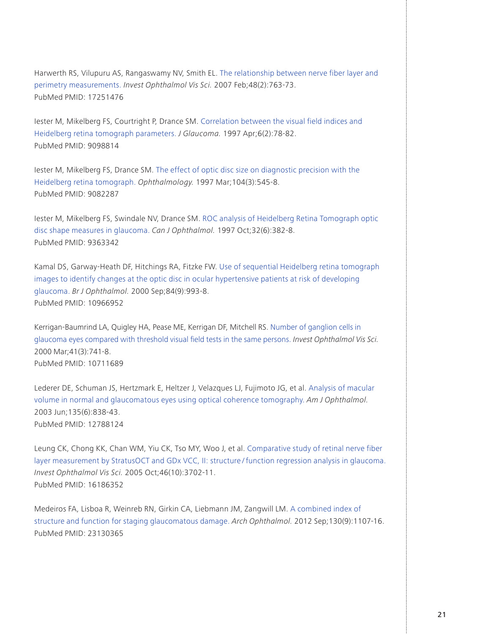Harwerth RS, Vilupuru AS, Rangaswamy NV, Smith EL. [The relationship between nerve fiber layer and](http://www.ncbi.nlm.nih.gov/pubmed/?term=17251476)  [perimetry measurements.](http://www.ncbi.nlm.nih.gov/pubmed/?term=17251476) *Invest Ophthalmol Vis Sci.* 2007 Feb;48(2):763-73. PubMed PMID: 17251476

Iester M, Mikelberg FS, Courtright P, Drance SM. [Correlation between the visual field indices and](http://www.ncbi.nlm.nih.gov/pubmed/?term=9098814)  [Heidelberg retina tomograph parameters.](http://www.ncbi.nlm.nih.gov/pubmed/?term=9098814) *J Glaucoma.* 1997 Apr;6(2):78-82. PubMed PMID: 9098814

Iester M, Mikelberg FS, Drance SM. [The effect of optic disc size on diagnostic precision with the](http://www.ncbi.nlm.nih.gov/pubmed/?term=9082287)  [Heidelberg retina tomograph.](http://www.ncbi.nlm.nih.gov/pubmed/?term=9082287) *Ophthalmology.* 1997 Mar;104(3):545-8. PubMed PMID: 9082287

Iester M, Mikelberg FS, Swindale NV, Drance SM. [ROC analysis of Heidelberg Retina Tomograph optic](http://www.ncbi.nlm.nih.gov/pubmed/?term=9363342)  [disc shape measures in glaucoma.](http://www.ncbi.nlm.nih.gov/pubmed/?term=9363342) *Can J Ophthalmol.* 1997 Oct;32(6):382-8. PubMed PMID: 9363342

Kamal DS, Garway-Heath DF, Hitchings RA, Fitzke FW. [Use of sequential Heidelberg retina tomograph](http://www.ncbi.nlm.nih.gov/pubmed/?term=10966952)  [images to identify changes at the optic disc in ocular hypertensive patients at risk of developing](http://www.ncbi.nlm.nih.gov/pubmed/?term=10966952)  [glaucoma.](http://www.ncbi.nlm.nih.gov/pubmed/?term=10966952) *Br J Ophthalmol.* 2000 Sep;84(9):993-8. PubMed PMID: 10966952

Kerrigan-Baumrind LA, Quigley HA, Pease ME, Kerrigan DF, Mitchell RS. [Number of ganglion cells in](http://www.ncbi.nlm.nih.gov/pubmed/?term=10711689)  [glaucoma eyes compared with threshold visual field tests in the same persons.](http://www.ncbi.nlm.nih.gov/pubmed/?term=10711689) *Invest Ophthalmol Vis Sci.*  2000 Mar;41(3):741-8. PubMed PMID: 10711689

Lederer DE, Schuman JS, Hertzmark E, Heltzer J, Velazques LJ, Fujimoto JG, et al. [Analysis of macular](http://www.ncbi.nlm.nih.gov/pubmed/?term=12788124)  [volume in normal and glaucomatous eyes using optical coherence tomography.](http://www.ncbi.nlm.nih.gov/pubmed/?term=12788124) *Am J Ophthalmol.* 2003 Jun;135(6):838-43. PubMed PMID: 12788124

Leung CK, Chong KK, Chan WM, Yiu CK, Tso MY, Woo J, et al. [Comparative study of retinal nerve fiber](http://www.ncbi.nlm.nih.gov/pubmed/?term=16186352)  [layer measurement by StratusOCT and GDx VCC, II: structure](http://www.ncbi.nlm.nih.gov/pubmed/?term=16186352) / function regression analysis in glaucoma. *Invest Ophthalmol Vis Sci.* 2005 Oct;46(10):3702-11. PubMed PMID: 16186352

Medeiros FA, Lisboa R, Weinreb RN, Girkin CA, Liebmann JM, Zangwill LM[. A combined index of](http://www.ncbi.nlm.nih.gov/pubmed/?term=23130365)  [structure and function for staging glaucomatous damage.](http://www.ncbi.nlm.nih.gov/pubmed/?term=23130365) *Arch Ophthalmol.* 2012 Sep;130(9):1107-16. PubMed PMID: 23130365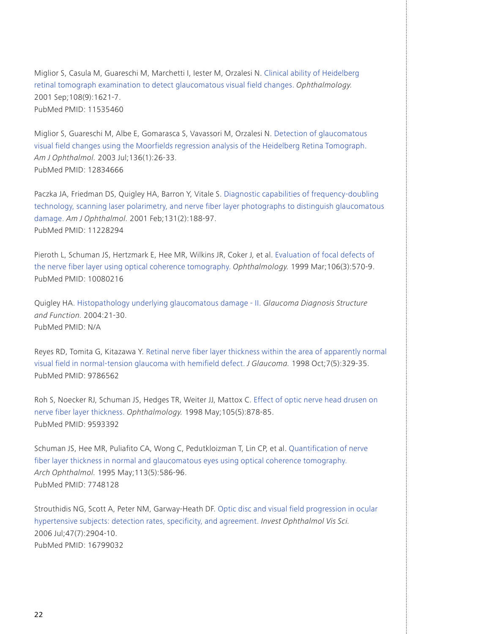Miglior S, Casula M, Guareschi M, Marchetti I, Iester M, Orzalesi N. [Clinical ability of Heidelberg](http://www.ncbi.nlm.nih.gov/pubmed/?term=11535460)  [retinal tomograph examination to detect glaucomatous visual field changes.](http://www.ncbi.nlm.nih.gov/pubmed/?term=11535460) *Ophthalmology.* 2001 Sep;108(9):1621-7. PubMed PMID: 11535460

Miglior S, Guareschi M, Albe E, Gomarasca S, Vavassori M, Orzalesi N. [Detection of glaucomatous](http://www.ncbi.nlm.nih.gov/pubmed/?term=12834666)  [visual field changes using the Moorfields regression analysis of the Heidelberg Retina Tomograph.](http://www.ncbi.nlm.nih.gov/pubmed/?term=12834666) *Am J Ophthalmol.* 2003 Jul;136(1):26-33. PubMed PMID: 12834666

Paczka JA, Friedman DS, Quigley HA, Barron Y, Vitale S. [Diagnostic capabilities of frequency-doubling](http://www.ncbi.nlm.nih.gov/pubmed/?term=11228294)  [technology, scanning laser polarimetry, and nerve fiber layer photographs to distinguish glaucomatous](http://www.ncbi.nlm.nih.gov/pubmed/?term=11228294)  [damage.](http://www.ncbi.nlm.nih.gov/pubmed/?term=11228294) *Am J Ophthalmol.* 2001 Feb;131(2):188-97. PubMed PMID: 11228294

Pieroth L, Schuman JS, Hertzmark E, Hee MR, Wilkins JR, Coker J, et al. [Evaluation of focal defects of](http://www.ncbi.nlm.nih.gov/pubmed/?term=10080216)  [the nerve fiber layer using optical coherence tomography.](http://www.ncbi.nlm.nih.gov/pubmed/?term=10080216) *Ophthalmology.* 1999 Mar;106(3):570-9. PubMed PMID: 10080216

Quigley HA. Histopathology underlying glaucomatous damage - II. *Glaucoma Diagnosis Structure and Function.* 2004:21-30. PubMed PMID: N/A

Reyes RD, Tomita G, Kitazawa Y. [Retinal nerve fiber layer thickness within the area of apparently normal](http://www.ncbi.nlm.nih.gov/pubmed/?term=9786562)  [visual field in normal-tension glaucoma with hemifield defect.](http://www.ncbi.nlm.nih.gov/pubmed/?term=9786562) *J Glaucoma.* 1998 Oct;7(5):329-35. PubMed PMID: 9786562

Roh S, Noecker RJ, Schuman JS, Hedges TR, Weiter JJ, Mattox C. [Effect of optic nerve head drusen on](http://www.ncbi.nlm.nih.gov/pubmed/9593392)  [nerve fiber layer thickness.](http://www.ncbi.nlm.nih.gov/pubmed/9593392) *Ophthalmology.* 1998 May;105(5):878-85. PubMed PMID: 9593392

Schuman JS, Hee MR, Puliafito CA, Wong C, Pedutkloizman T, Lin CP, et al. [Quantification of nerve](http://www.ncbi.nlm.nih.gov/pubmed/?term=7748128)  [fiber layer thickness in normal and glaucomatous eyes using optical coherence tomography](http://www.ncbi.nlm.nih.gov/pubmed/?term=7748128). *Arch Ophthalmol.* 1995 May;113(5):586-96. PubMed PMID: 7748128

Strouthidis NG, Scott A, Peter NM, Garway-Heath DF. [Optic disc and visual field progression in ocular](http://www.ncbi.nlm.nih.gov/pubmed/?term=16799032)  [hypertensive subjects: detection rates, specificity, and agreement.](http://www.ncbi.nlm.nih.gov/pubmed/?term=16799032) *Invest Ophthalmol Vis Sci.* 2006 Jul;47(7):2904-10. PubMed PMID: 16799032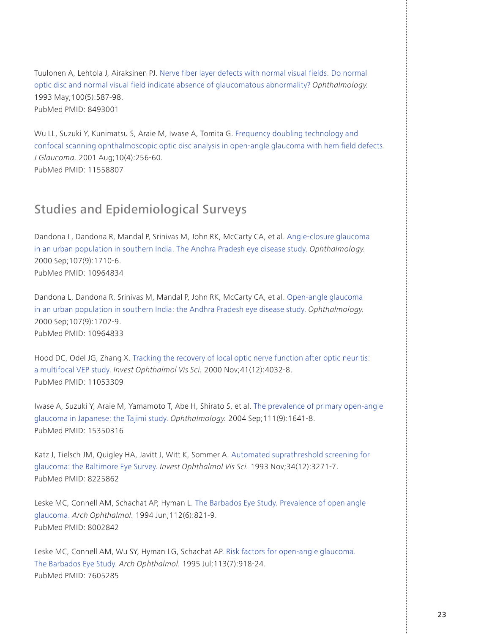Tuulonen A, Lehtola J, Airaksinen PJ[. Nerve fiber layer defects with normal visual fields. Do normal](http://www.ncbi.nlm.nih.gov/pubmed/?term=8493001)  [optic disc and normal visual field indicate absence of glaucomatous abnormality?](http://www.ncbi.nlm.nih.gov/pubmed/?term=8493001) *Ophthalmology.* 1993 May;100(5):587-98. PubMed PMID: 8493001

Wu LL, Suzuki Y, Kunimatsu S, Araie M, Iwase A, Tomita G. [Frequency doubling technology and](http://www.ncbi.nlm.nih.gov/pubmed/?term=11558807)  [confocal scanning ophthalmoscopic optic disc analysis in open-angle glaucoma with hemifield defects.](http://www.ncbi.nlm.nih.gov/pubmed/?term=11558807) *J Glaucoma.* 2001 Aug;10(4):256-60. PubMed PMID: 11558807

#### Studies and Epidemiological Surveys

Dandona L, Dandona R, Mandal P, Srinivas M, John RK, McCarty CA, et al. [Angle-closure glaucoma](http://www.ncbi.nlm.nih.gov/pubmed/?term=10964834)  [in an urban population in southern India. The Andhra Pradesh eye disease study.](http://www.ncbi.nlm.nih.gov/pubmed/?term=10964834) *Ophthalmology.*  2000 Sep;107(9):1710-6. PubMed PMID: 10964834

Dandona L, Dandona R, Srinivas M, Mandal P, John RK, McCarty CA, et al. [Open-angle glaucoma](http://www.ncbi.nlm.nih.gov/pubmed/?term=10964833)  [in an urban population in southern India: the Andhra Pradesh eye disease study.](http://www.ncbi.nlm.nih.gov/pubmed/?term=10964833) *Ophthalmology.* 2000 Sep;107(9):1702-9. PubMed PMID: 10964833

Hood DC, Odel JG, Zhang X. [Tracking the recovery of local optic nerve function after optic neuritis:](http://www.ncbi.nlm.nih.gov/pubmed/?term=11053309)  [a multifocal VEP study.](http://www.ncbi.nlm.nih.gov/pubmed/?term=11053309) *Invest Ophthalmol Vis Sci.* 2000 Nov;41(12):4032-8. PubMed PMID: 11053309

Iwase A, Suzuki Y, Araie M, Yamamoto T, Abe H, Shirato S, et al. [The prevalence of primary open-angle](http://www.ncbi.nlm.nih.gov/pubmed/?term=15350316)  [glaucoma in Japanese: the Tajimi study.](http://www.ncbi.nlm.nih.gov/pubmed/?term=15350316) *Ophthalmology.* 2004 Sep;111(9):1641-8. PubMed PMID: 15350316

Katz J, Tielsch JM, Quigley HA, Javitt J, Witt K, Sommer A. [Automated suprathreshold screening for](http://www.ncbi.nlm.nih.gov/pubmed/?term=8225862)  [glaucoma: the Baltimore Eye Survey.](http://www.ncbi.nlm.nih.gov/pubmed/?term=8225862) *Invest Ophthalmol Vis Sci.* 1993 Nov;34(12):3271-7. PubMed PMID: 8225862

Leske MC, Connell AM, Schachat AP, Hyman L. [The Barbados Eye Study. Prevalence of open angle](http://www.ncbi.nlm.nih.gov/pubmed/?term=8002842)  [glaucoma.](http://www.ncbi.nlm.nih.gov/pubmed/?term=8002842) *Arch Ophthalmol.* 1994 Jun;112(6):821-9. PubMed PMID: 8002842

Leske MC, Connell AM, Wu SY, Hyman LG, Schachat AP. [Risk factors for open-angle glaucoma.](http://www.ncbi.nlm.nih.gov/pubmed/?term=7605285)  [The Barbados Eye Study.](http://www.ncbi.nlm.nih.gov/pubmed/?term=7605285) *Arch Ophthalmol.* 1995 Jul;113(7):918-24. PubMed PMID: 7605285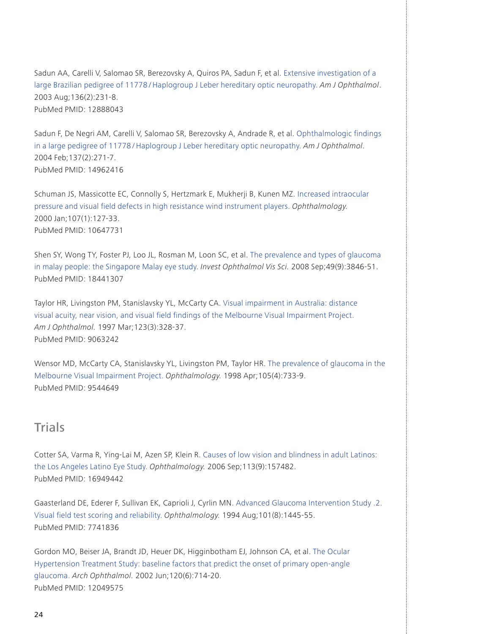Sadun AA, Carelli V, Salomao SR, Berezovsky A, Quiros PA, Sadun F, et al. [Extensive investigation of a](http://www.ncbi.nlm.nih.gov/pubmed/?term=12888043)  large Brazilian pedigree of 11778 / [Haplogroup J Leber hereditary optic neuropathy.](http://www.ncbi.nlm.nih.gov/pubmed/?term=12888043) *Am J Ophthalmol*. 2003 Aug;136(2):231-8. PubMed PMID: 12888043

Sadun F, De Negri AM, Carelli V, Salomao SR, Berezovsky A, Andrade R, et al. [Ophthalmologic findings](http://www.ncbi.nlm.nih.gov/pubmed/?term=14962416)  in a large pedigree of 11778 / [Haplogroup J Leber hereditary optic neuropathy.](http://www.ncbi.nlm.nih.gov/pubmed/?term=14962416) *Am J Ophthalmol.* 2004 Feb;137(2):271-7. PubMed PMID: 14962416

Schuman JS, Massicotte EC, Connolly S, Hertzmark E, Mukherji B, Kunen MZ. [Increased intraocular](http://www.ncbi.nlm.nih.gov/pubmed/?term=10647731)  [pressure and visual field defects in high resistance wind instrument players.](http://www.ncbi.nlm.nih.gov/pubmed/?term=10647731) *Ophthalmology.*  2000 Jan;107(1):127-33. PubMed PMID: 10647731

Shen SY, Wong TY, Foster PJ, Loo JL, Rosman M, Loon SC, et al. [The prevalence and types of glaucoma](http://www.ncbi.nlm.nih.gov/pubmed/?term=18441307)  [in malay people: the Singapore Malay eye study.](http://www.ncbi.nlm.nih.gov/pubmed/?term=18441307) *Invest Ophthalmol Vis Sci.* 2008 Sep;49(9):3846-51. PubMed PMID: 18441307

Taylor HR, Livingston PM, Stanislavsky YL, McCarty CA. [Visual impairment in Australia: distance](http://www.ncbi.nlm.nih.gov/pubmed/?term=9063242)  [visual acuity, near vision, and visual field findings of the Melbourne Visual Impairment Project.](http://www.ncbi.nlm.nih.gov/pubmed/?term=9063242) *Am J Ophthalmol.* 1997 Mar;123(3):328-37. PubMed PMID: 9063242

Wensor MD, McCarty CA, Stanislavsky YL, Livingston PM, Taylor HR. [The prevalence of glaucoma in the](http://www.ncbi.nlm.nih.gov/pubmed/?term=9544649)  [Melbourne Visual Impairment Project.](http://www.ncbi.nlm.nih.gov/pubmed/?term=9544649) *Ophthalmology.* 1998 Apr;105(4):733-9. PubMed PMID: 9544649

#### **Trials**

Cotter SA, Varma R, Ying-Lai M, Azen SP, Klein R. [Causes of low vision and blindness in adult Latinos:](http://www.ncbi.nlm.nih.gov/pubmed/?term=16949442)  [the Los Angeles Latino Eye Study.](http://www.ncbi.nlm.nih.gov/pubmed/?term=16949442) *Ophthalmology.* 2006 Sep;113(9):157482. PubMed PMID: 16949442

Gaasterland DE, Ederer F, Sullivan EK, Caprioli J, Cyrlin MN. [Advanced Glaucoma Intervention Study .2.](http://www.ncbi.nlm.nih.gov/pubmed/?term=7741836)  [Visual field test scoring and reliability.](http://www.ncbi.nlm.nih.gov/pubmed/?term=7741836) *Ophthalmology.* 1994 Aug;101(8):1445-55. PubMed PMID: 7741836

Gordon MO, Beiser JA, Brandt JD, Heuer DK, Higginbotham EJ, Johnson CA, et al. [The Ocular](http://www.ncbi.nlm.nih.gov/pubmed/?term=12049575)  [Hypertension Treatment Study: baseline factors that predict the onset of primary open-angle](http://www.ncbi.nlm.nih.gov/pubmed/?term=12049575)  [glaucoma.](http://www.ncbi.nlm.nih.gov/pubmed/?term=12049575) *Arch Ophthalmol.* 2002 Jun;120(6):714-20. PubMed PMID: 12049575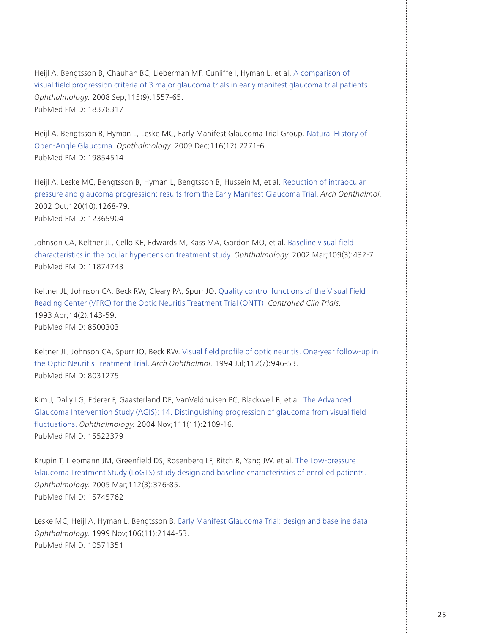Heijl A, Bengtsson B, Chauhan BC, Lieberman MF, Cunliffe I, Hyman L, et al. A comparison of visual field progression criteria of 3 major glaucoma trials in early manifest glaucoma trial patients. *Ophthalmology.* 2008 Sep;115(9):1557-65. PubMed PMID: 18378317

Heijl A, Bengtsson B, Hyman L, Leske MC, [Early Manifest Glaucoma Trial Group. Natural History of](http://www.ncbi.nlm.nih.gov/pubmed/?term=19854514)  [Open-Angle Glaucoma.](http://www.ncbi.nlm.nih.gov/pubmed/?term=19854514) *Ophthalmology.* 2009 Dec;116(12):2271-6. PubMed PMID: 19854514

Heijl A, Leske MC, Bengtsson B, Hyman L, Bengtsson B, Hussein M, et al. [Reduction of intraocular](http://www.ncbi.nlm.nih.gov/pubmed/?term=12365904)  [pressure and glaucoma progression: results from the Early Manifest Glaucoma Trial.](http://www.ncbi.nlm.nih.gov/pubmed/?term=12365904) *Arch Ophthalmol.*  2002 Oct;120(10):1268-79. PubMed PMID: 12365904

Johnson CA, Keltner JL, Cello KE, Edwards M, Kass MA, Gordon MO, et al. [Baseline visual field](http://www.ncbi.nlm.nih.gov/pubmed/?term=11874743)  [characteristics in the ocular hypertension treatment study.](http://www.ncbi.nlm.nih.gov/pubmed/?term=11874743) *Ophthalmology.* 2002 Mar;109(3):432-7. PubMed PMID: 11874743

Keltner JL, Johnson CA, Beck RW, Cleary PA, Spurr JO. [Quality control functions of the Visual Field](http://www.ncbi.nlm.nih.gov/pubmed/?term=8500303)  [Reading Center \(VFRC\) for the Optic Neuritis Treatment Trial \(ONTT\).](http://www.ncbi.nlm.nih.gov/pubmed/?term=8500303) *Controlled Clin Trials.* 1993 Apr;14(2):143-59. PubMed PMID: 8500303

Keltner JL, Johnson CA, Spurr JO, Beck RW. Visual field profile of optic neuritis. One-year follow-up in the Optic Neuritis Treatment Trial. *[A](http://www.ncbi.nlm.nih.gov/pubmed/?term=8031275)rch Ophthalmol.* 1994 Jul;112(7):946-53. PubMed PMID: 8031275

Kim J, Dally LG, Ederer F, Gaasterland DE, VanVeldhuisen PC, Blackwell B, et al. [The Advanced](http://www.ncbi.nlm.nih.gov/pubmed/?term=15522379)  [Glaucoma Intervention Study \(AGIS\): 14. Distinguishing progression of glaucoma from visual field](http://www.ncbi.nlm.nih.gov/pubmed/?term=15522379)  [fluctuations.](http://www.ncbi.nlm.nih.gov/pubmed/?term=15522379) *Ophthalmology.* 2004 Nov;111(11):2109-16. PubMed PMID: 15522379

Krupin T, Liebmann JM, Greenfield DS, Rosenberg LF, Ritch R, Yang JW, et al. [The Low-pressure](http://www.ncbi.nlm.nih.gov/pubmed/?term=15745762)  [Glaucoma Treatment Study \(LoGTS\) study design and baseline characteristics of enrolled patients.](http://www.ncbi.nlm.nih.gov/pubmed/?term=15745762) *Ophthalmology.* 2005 Mar;112(3):376-85. PubMed PMID: 15745762

Leske MC, Heijl A, Hyman L, Bengtsson B. [Early Manifest Glaucoma Trial: design and baseline data.](http://www.ncbi.nlm.nih.gov/pubmed/?term=10571351) *Ophthalmology.* 1999 Nov;106(11):2144-53. PubMed PMID: 10571351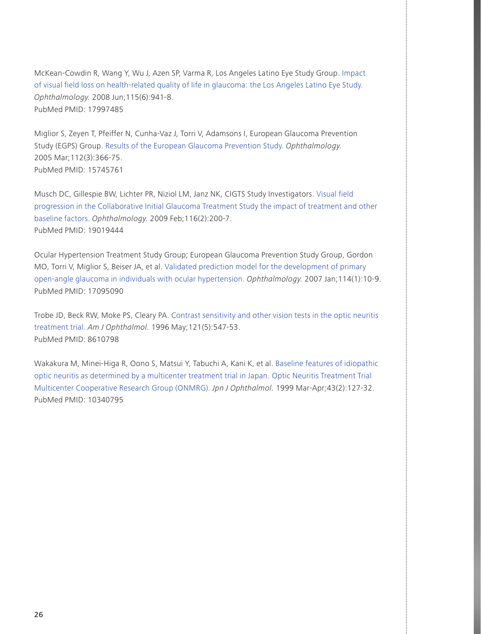McKean-Cowdin R, Wang Y, Wu J, Azen SP, Varma R, Los Angeles Latino Eye Study Group. [Impact](http://www.ncbi.nlm.nih.gov/pubmed/?term=17997485)  [of visual field loss on health-related quality of life in glaucoma: the Los Angeles Latino Eye Study.](http://www.ncbi.nlm.nih.gov/pubmed/?term=17997485)  *Ophthalmology.* 2008 Jun;115(6):941-8. PubMed PMID: 17997485

Miglior S, Zeyen T, Pfeiffer N, Cunha-Vaz J, Torri V, Adamsons I, European Glaucoma Prevention Study (EGPS) Group. [Results of the European Glaucoma Prevention Study.](http://www.ncbi.nlm.nih.gov/pubmed/?term=15745761) *Ophthalmology.* 2005 Mar;112(3):366-75. PubMed PMID: 15745761

Musch DC, Gillespie BW, Lichter PR, Niziol LM, Janz NK, CIGTS Study Investigators. [Visual field](http://www.ncbi.nlm.nih.gov/pubmed/?term=19019444)  [progression in the Collaborative Initial Glaucoma Treatment Study the impact of treatment and other](http://www.ncbi.nlm.nih.gov/pubmed/?term=19019444)  [baseline factors.](http://www.ncbi.nlm.nih.gov/pubmed/?term=19019444) *Ophthalmology.* 2009 Feb;116(2):200-7. PubMed PMID: 19019444

Ocular Hypertension Treatment Study Group; European Glaucoma Prevention Study Group, Gordon MO, Torri V, Miglior S, Beiser JA, et al. [Validated prediction model for the development of primary](http://www.ncbi.nlm.nih.gov/pubmed/?term=17095090)  [open-angle glaucoma in individuals with ocular hypertension.](http://www.ncbi.nlm.nih.gov/pubmed/?term=17095090) *Ophthalmology.* 2007 Jan;114(1):10-9. PubMed PMID: 17095090

Trobe JD, Beck RW, Moke PS, Cleary PA. [Contrast sensitivity and other vision tests in the optic neuritis](http://www.ncbi.nlm.nih.gov/pubmed/?term=8610798)  [treatment trial.](http://www.ncbi.nlm.nih.gov/pubmed/?term=8610798) *Am J Ophthalmol.* 1996 May;121(5):547-53. PubMed PMID: 8610798

Wakakura M, Minei-Higa R, Oono S, Matsui Y, Tabuchi A, Kani K, et al. [Baseline features of idiopathic](http://www.ncbi.nlm.nih.gov/pubmed/?term=10340795)  [optic neuritis as determined by a multicenter treatment trial in Japan. Optic Neuritis Treatment Trial](http://www.ncbi.nlm.nih.gov/pubmed/?term=10340795)  [Multicenter Cooperative Research Group \(ONMRG\).](http://www.ncbi.nlm.nih.gov/pubmed/?term=10340795) *Jpn J Ophthalmol.* 1999 Mar-Apr;43(2):127-32. PubMed PMID: 10340795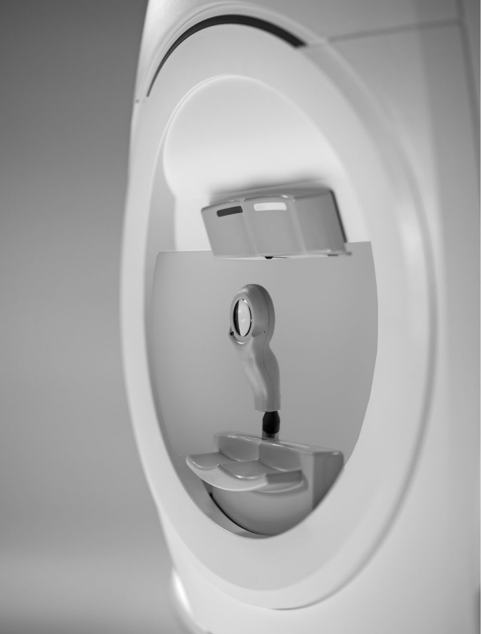